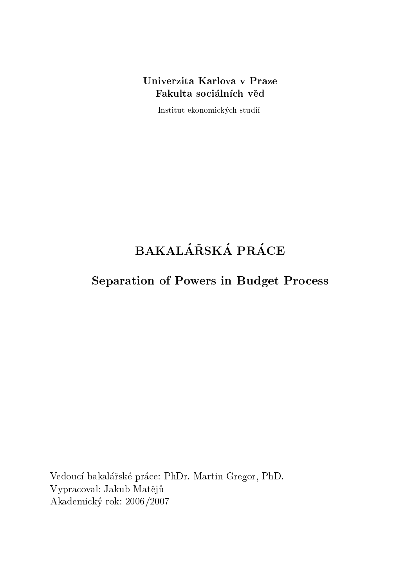Institut ekonomi
ky
h studi

## BAKALÁŘSKÁ PRÁCE

## Separation of Powers in Budget Pro
ess

Vedoucí bakalářské práce: PhDr. Martin Gregor, PhD. Vypracoval: Jakub Matějů Akademi
ky rok: 2006/2007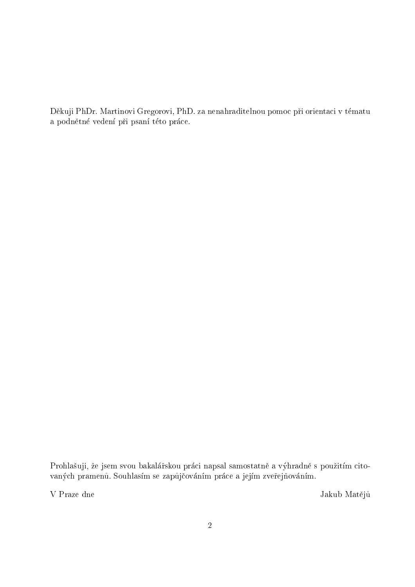Děkuji PhDr. Martinovi Gregorovi, PhD. za nenahraditelnou pomoc při orientaci v tématu a podnětné vedení při psaní této práce.

Prohlašuji, že jsem svou bakalářskou práci napsal samostatně a výhradně s použitím citovaných pramenů. Souhlasím se zapůjčováním práce a jejím zveřejňováním.

V Praze dne Jakub Mateju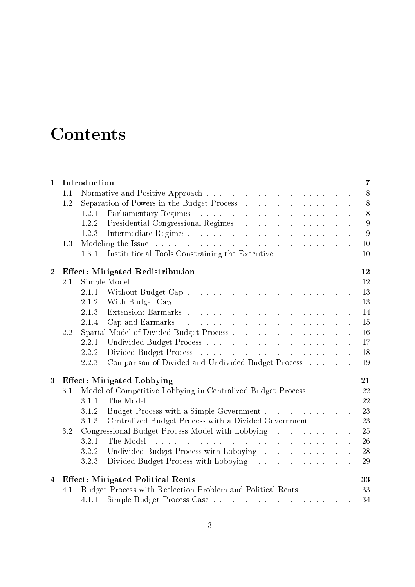## Contents

| $\mathbf{1}$   |                                                | Introduction<br>$\overline{7}$          |                                                             |    |  |  |  |  |  |  |
|----------------|------------------------------------------------|-----------------------------------------|-------------------------------------------------------------|----|--|--|--|--|--|--|
|                | 1.1                                            |                                         |                                                             | 8  |  |  |  |  |  |  |
|                | 1.2                                            |                                         | Separation of Powers in the Budget Process                  | 8  |  |  |  |  |  |  |
|                |                                                | 1.2.1                                   |                                                             | 8  |  |  |  |  |  |  |
|                |                                                | 1.2.2                                   |                                                             | 9  |  |  |  |  |  |  |
|                |                                                | 1.2.3                                   |                                                             | 9  |  |  |  |  |  |  |
|                | 1.3                                            |                                         |                                                             | 10 |  |  |  |  |  |  |
|                |                                                | 1.3.1                                   | Institutional Tools Constraining the Executive              | 10 |  |  |  |  |  |  |
| $\overline{2}$ | <b>Effect: Mitigated Redistribution</b><br>12  |                                         |                                                             |    |  |  |  |  |  |  |
|                | 2.1                                            |                                         |                                                             | 12 |  |  |  |  |  |  |
|                |                                                | 2.1.1                                   |                                                             | 13 |  |  |  |  |  |  |
|                |                                                | 2.1.2                                   |                                                             | 13 |  |  |  |  |  |  |
|                |                                                | 2.1.3                                   |                                                             | 14 |  |  |  |  |  |  |
|                |                                                | 2.1.4                                   |                                                             | 15 |  |  |  |  |  |  |
|                | 2.2                                            |                                         |                                                             | 16 |  |  |  |  |  |  |
|                |                                                | 2.2.1                                   |                                                             | 17 |  |  |  |  |  |  |
|                |                                                | 2.2.2                                   |                                                             | 18 |  |  |  |  |  |  |
|                |                                                | 2.2.3                                   | Comparison of Divided and Undivided Budget Process          | 19 |  |  |  |  |  |  |
| 3              |                                                | 21<br><b>Effect: Mitigated Lobbying</b> |                                                             |    |  |  |  |  |  |  |
|                | 3.1                                            |                                         | Model of Competitive Lobbying in Centralized Budget Process | 22 |  |  |  |  |  |  |
|                |                                                | 3.1.1                                   |                                                             | 22 |  |  |  |  |  |  |
|                |                                                | 3.1.2                                   | Budget Process with a Simple Government                     | 23 |  |  |  |  |  |  |
|                |                                                | 3.1.3                                   | Centralized Budget Process with a Divided Government        | 23 |  |  |  |  |  |  |
|                | 3.2                                            |                                         | Congressional Budget Process Model with Lobbying            | 25 |  |  |  |  |  |  |
|                |                                                | 3.2.1                                   |                                                             | 26 |  |  |  |  |  |  |
|                |                                                | 3.2.2                                   | Undivided Budget Process with Lobbying                      | 28 |  |  |  |  |  |  |
|                |                                                | 3.2.3                                   | Divided Budget Process with Lobbying                        | 29 |  |  |  |  |  |  |
| $\overline{4}$ | 33<br><b>Effect: Mitigated Political Rents</b> |                                         |                                                             |    |  |  |  |  |  |  |
|                | 4.1                                            |                                         | Budget Process with Reelection Problem and Political Rents  | 33 |  |  |  |  |  |  |
|                |                                                | 4.1.1                                   |                                                             | 34 |  |  |  |  |  |  |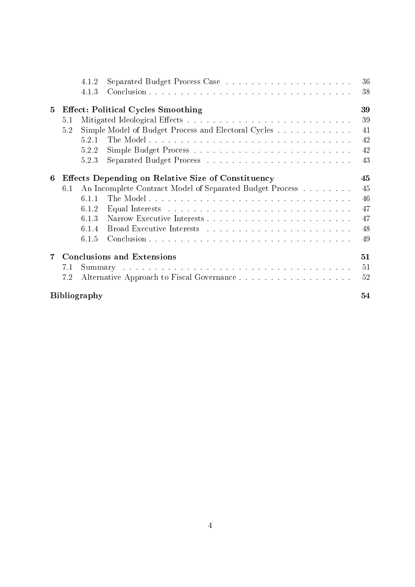|   |                                                    | 4.1.2               |                                                          |  |  |  |  |  |  | 36 |  |
|---|----------------------------------------------------|---------------------|----------------------------------------------------------|--|--|--|--|--|--|----|--|
|   |                                                    | 4.1.3               |                                                          |  |  |  |  |  |  | 38 |  |
| 5 | <b>Effect: Political Cycles Smoothing</b>          |                     |                                                          |  |  |  |  |  |  |    |  |
|   | 5.1                                                |                     |                                                          |  |  |  |  |  |  | 39 |  |
|   | 5.2                                                |                     | Simple Model of Budget Process and Electoral Cycles      |  |  |  |  |  |  | 41 |  |
|   |                                                    | 5.2.1               |                                                          |  |  |  |  |  |  | 42 |  |
|   |                                                    | 5.2.2               |                                                          |  |  |  |  |  |  | 42 |  |
|   |                                                    | 5.2.3               |                                                          |  |  |  |  |  |  | 43 |  |
| 6 | Effects Depending on Relative Size of Constituency |                     |                                                          |  |  |  |  |  |  | 45 |  |
|   | 6.1                                                |                     | An Incomplete Contract Model of Separated Budget Process |  |  |  |  |  |  | 45 |  |
|   |                                                    | 611                 |                                                          |  |  |  |  |  |  | 46 |  |
|   |                                                    | 6.1.2               |                                                          |  |  |  |  |  |  | 47 |  |
|   |                                                    | 6.1.3               |                                                          |  |  |  |  |  |  | 47 |  |
|   |                                                    | 6.1.4               |                                                          |  |  |  |  |  |  | 48 |  |
|   |                                                    | 6.1.5               |                                                          |  |  |  |  |  |  | 49 |  |
| 7 | <b>Conclusions and Extensions</b>                  |                     |                                                          |  |  |  |  |  |  | 51 |  |
|   | 7.1                                                |                     |                                                          |  |  |  |  |  |  | 51 |  |
|   | 7.2                                                |                     |                                                          |  |  |  |  |  |  | 52 |  |
|   |                                                    | <b>Bibliography</b> |                                                          |  |  |  |  |  |  | 54 |  |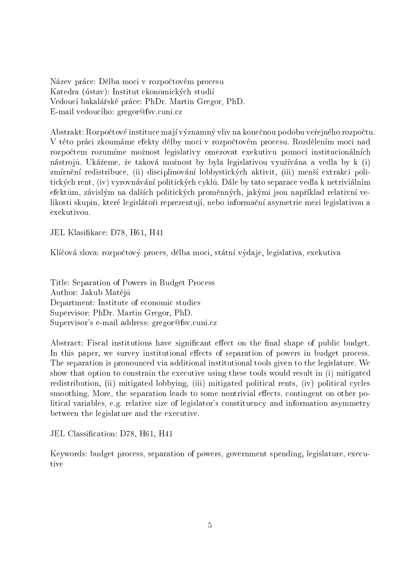Název práce: Dělba moci v rozpočtovém procesu Katedra (ústav): Institut ekonomických studií Vedoucí bakalářské práce: PhDr. Martin Gregor, PhD. E-mail vedoucího: gregor@fsv.cuni.cz

Abstrakt: Rozpočtové instituce mají významný vliv na konečnou podobu veřejného rozpočtu. V této práci zkoumáme efekty dělby moci v rozpočtovém procesu. Rozdělením moci nad rozpočtem rozumíme možnost legislativy omezovat exekutivu pomocí institucionálních nástrojů. Ukážeme, že taková možnost by byla legislativou využívána a vedla by k (i) zmírnění redistribuce, (ii) disciplinování lobbystických aktivit, (iii) menší extrakci politických rent, (iv) vyrovnávání politických cyklů. Dále by tato separace vedla k netriviálním efektům, závislým na dalších politických proměnných, jakými jsou například relativní velikosti skupin, které legislátoři reprezentují, nebo informační asymetrie mezi legislativou a exekutivou.

JEL Klasifikace: D78, H61, H41

Klíčová slova: rozpočtový proces, dělba moci, státní výdaje, legislativa, exekutiva

Title: Separation of Powers in Budget Pro
ess Author: Jakub Mateju Department: Institute of economic studies Supervisor: PhDr. Martin Gregor, PhD. Supervisor's e-mail address: gregor@fsv.cuni.cz

Abstract: Fiscal institutions have significant effect on the final shape of public budget. In this paper, we survey institutional effects of separation of powers in budget process. The separation is pronoun
ed via additional institutional tools given to the legislature. We show that option to constrain the executive using these tools would result in (i) mitigated redistribution, (ii) mitigated lobbying, (iii) mitigated political rents, (iv) political cycles smoothing. More, the separation leads to some nontrivial effects, contingent on other political variables, e.g. relative size of legislator's constituency and information asymmetry between the legislature and the executive.

JEL Classification: D78, H61, H41

Keywords: budget pro
ess, separation of powers, government spending, legislature, exe
utive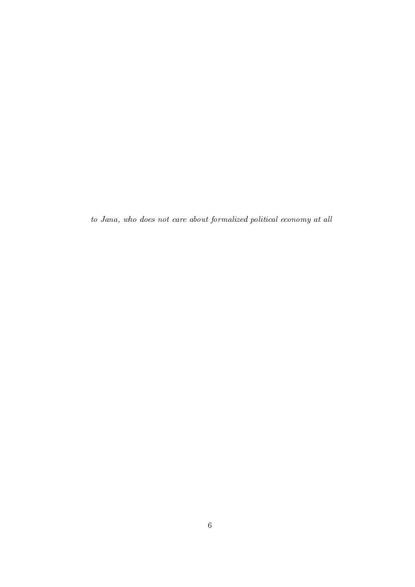to Jana, who does not care about formalized political economy at all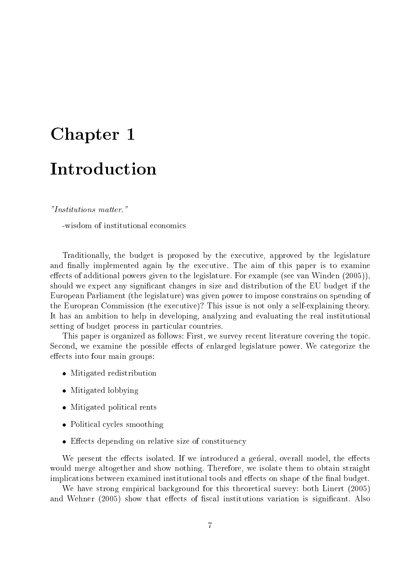# Chapter 1986 in 1986 in 1986 in 1986 in 1986 in 1986 in 1986 in 1986 in 1986 in 1986 in 1986 in 1986 in 1986 i

#### "Institutions matter."

-wisdom of institutional economics

Traditionally, the budget is proposed by the exe
utive, approved by the legislature and finally implemented again by the executive. The aim of this paper is to examine effects of additional powers given to the legislature. For example (see van Winden (2005)). should we expect any significant changes in size and distribution of the EU budget if the European Parliament (the legislature) was given power to impose onstrains on spending of the European Commission (the executive)? This issue is not only a self-explaining theory. It has an ambition to help in developing, analyzing and evaluating the real institutional setting of budget process in particular countries.

This paper is organized as follows: First, we survey re
ent literature overing the topi
. Second, we examine the possible effects of enlarged legislature power. We categorize the effects into four main groups:

- mitigated redistribution of the set of the set of the set of the set of the set of the set of the set of the s
- mitigated in the contract of the second second second in the second second second in the second second second
- Mitigated politi
al rents
- Politi
al y
les smoothing
- ers de personnelle size of the size of the size of the size of the size of the size of the size of the size of

We present the effects isolated. If we introduced a general, overall model, the effects would merge altogether and show nothing. Therefore, we isolate them to obtain straight implications between examined institutional tools and effects on shape of the final budget.

We have strong empirical background for this theoretical survey: both Linert (2005) and Wehner (2005) show that effects of fiscal institutions variation is significant. Also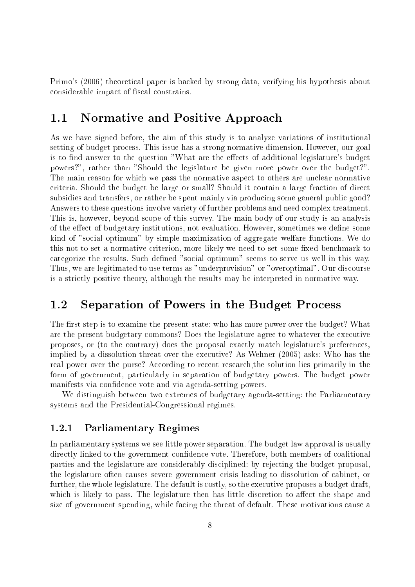Primo's (2006) theoreti
al paper is ba
ked by strong data, verifying his hypothesis about considerable impact of fiscal constrains.

#### Normative and Positive Approach  $1.1$

As we have signed before, the aim of this study is to analyze variations of institutional setting of budget pro
ess. This issue has a strong normative dimension. However, our goal is to find answer to the question "What are the effects of additional legislature's budget powers?", rather than "Should the legislature be given more power over the budget?". The main reason for which we pass the normative aspect to others are unclear normative criteria. Should the budget be large or small? Should it contain a large fraction of direct subsidies and transfers, or rather be spent mainly via producing some general public good? Answers to these questions involve variety of further problems and need omplex treatment. This is, however, beyond s
ope of this survey. The main body of our study is an analysis of the effect of budgetary institutions, not evaluation. However, sometimes we define some kind of "social optimum" by simple maximization of aggregate welfare functions. We do this not to set a normative criterion, more likely we need to set some fixed benchmark to categorize the results. Such defined "social optimum" seems to serve us well in this way. Thus, we are legitimated to use terms as "underprovision" or "overoptimal". Our discourse is a stri
tly positive theory, although the results may be interpreted in normative way.

### 1.2 Separation of Powers in the Budget Pro
ess

The first step is to examine the present state: who has more power over the budget? What are the present budgetary commons? Does the legislature agree to whatever the executive proposes, or (to the contrary) does the proposal exactly match legislature's preferences, implied by a dissolution threat over the executive? As Wehner (2005) asks: Who has the real power over the purse? According to recent research, the solution lies primarily in the form of government, particularly in separation of budgetary powers. The budget power manifests via confidence vote and via agenda-setting powers.

We distinguish between two extremes of budgetary agenda-setting: the Parliamentary systems and the Presidential-Congressional regimes.

#### 1.2.1Parliamentary Regimes

In parliamentary systems we see little power separation. The budget law approval is usually directly linked to the government confidence vote. Therefore, both members of coalitional parties and the legislature are onsiderably dis
iplined: by reje
ting the budget proposal, the legislature often auses severe government risis leading to dissolution of abinet, or further, the whole legislature. The default is costly, so the executive proposes a budget draft. which is likely to pass. The legislature then has little discretion to affect the shape and size of government spending, while facing the threat of default. These motivations cause a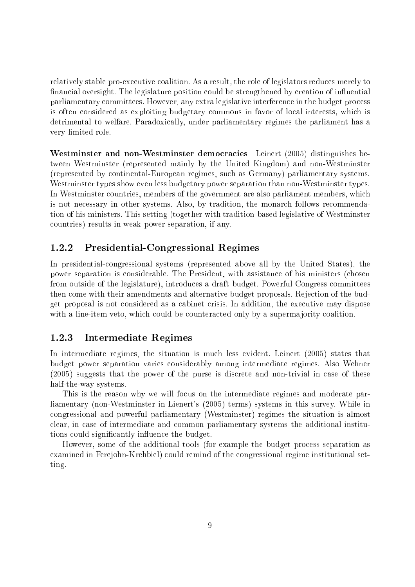relatively stable pro-executive coalition. As a result, the role of legislators reduces merely to financial oversight. The legislature position could be strengthened by creation of influential parliamentary ommittees. However, any extra legislative interferen
e in the budget pro
ess is often onsidered as exploiting budgetary ommons in favor of lo
al interests, whi
h is detrimental to welfare. Paradoxi
ally, under parliamentary regimes the parliament has a very limited role.

Westminster and non-Westminster democracies Leinert (2005) distinguishes between Westminster (represented mainly by the United Kingdom) and non-Westminster (represented by ontinental-European regimes, su
h as Germany) parliamentary systems. Westminster types show even less budgetary power separation than non-Westminster types. In Westminster countries, members of the government are also parliament members, which is not ne
essary in other systems. Also, by tradition, the monar
h follows re
ommendation of his ministers. This setting (together with tradition-based legislative of Westminster ountries) results in weak power separation, if any.

#### 1.2.2Presidential-Congressional Regimes

In presidentialongressional systems (represented above all by the United States), the power separation is onsiderable. The President, with assistan
e of his ministers (
hosen from outside of the legislature), introdu
es a draft budget. Powerful Congress ommittees then come with their amendments and alternative budget proposals. Rejection of the budget proposal is not onsidered as a abinet risis. In addition, the exe
utive may dispose with a line-item veto, which could be counteracted only by a supermajority coalition.

#### 1.2.3Intermediate Regimes

In intermediate regimes, the situation is mu
h less evident. Leinert (2005) states that budget power separation varies onsiderably among intermediate regimes. Also Wehner (2005) suggests that the power of the purse is discrete and non-trivial in case of these half-the-way systems.

This is the reason why we will focus on the intermediate regimes and moderate parliamentary (non-Westminster in Lienert's (2005) terms) systems in this survey. While in ongressional and powerful parliamentary (Westminster) regimes the situation is almost lear, in ase of intermediate and ommon parliamentary systems the additional institutions could significantly influence the budget.

However, some of the additional tools (for example the budget pro
ess separation as examined in Ferejohn-Krehbiel) could remind of the congressional regime institutional setting.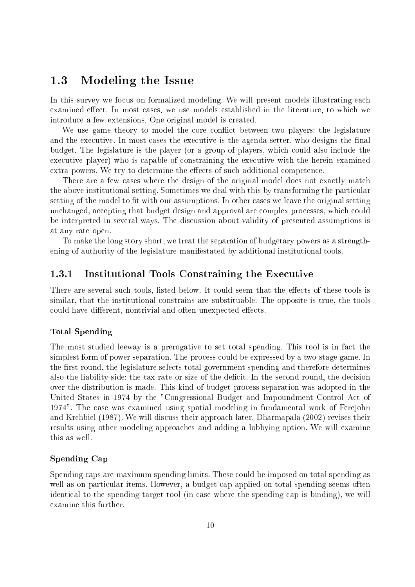#### Modeling the Issue  $1.3$

In this survey we focus on formalized modeling. We will present models illustrating each examined effect. In most cases, we use models established in the literature, to which we introduce a few extensions. One original model is created.

We use game theory to model the core conflict between two players: the legislature and the executive. In most cases the executive is the agenda-setter, who designs the final budget. The legislature is the player (or a group of players, which could also include the executive player) who is capable of constraining the executive with the herein examined extra powers. We try to determine the effects of such additional competence.

There are a few cases where the design of the original model does not exactly match the above institutional setting. Sometimes we deal with this by transforming the particular setting of the model to fit with our assumptions. In other cases we leave the original setting unchanged, accepting that budget design and approval are complex processes, which could be interpreted in several ways. The dis
ussion about validity of presented assumptions is at any rate open.

To make the long story short, we treat the separation of budgetary powers as a strengthening of authority of the legislature manifestated by additional institutional tools.

#### 1.3.1Institutional Tools Constraining the Executive

There are several such tools, listed below. It could seem that the effects of these tools is similar, that the institutional onstrains are substituable. The opposite is true, the tools could have different, nontrivial and often unexpected effects.

#### Total Spending

The most studied leeway is a prerogative to set total spending. This tool is in fact the simplest form of power separation. The process could be expressed by a two-stage game. In the first round, the legislature selects total government spending and therefore determines also the liability-side: the tax rate or size of the deficit. In the second round, the decision over the distribution is made. This kind of budget pro
ess separation was adopted in the United States in 1974 by the "Congressional Budget and Impoundment Control Act of 1974". The ase was examined using spatial modeling in fundamental work of Ferejohn and Krehbiel (1987). We will dis
uss their approa
h later. Dharmapala (2002) revises their results using other modeling approaches and adding a lobbying option. We will examine this as well.

#### Spending Cap

Spending caps are maximum spending limits. These could be imposed on total spending as well as on particular items. However, a budget cap applied on total spending seems often identical to the spending target tool (in case where the spending cap is binding), we will examine this further.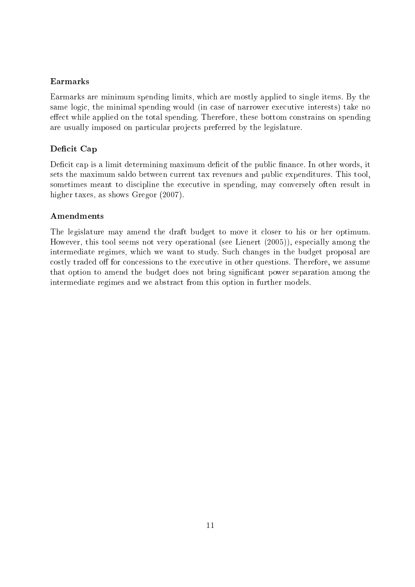#### Earmarks

Earmarks are minimum spending limits, whi
h are mostly applied to single items. By the same logic, the minimal spending would (in case of narrower executive interests) take no effect while applied on the total spending. Therefore, these bottom constrains on spending are usually imposed on particular projects preferred by the legislature.

#### Deficit Cap

Deficit cap is a limit determining maximum deficit of the public finance. In other words, it sets the maximum saldo between urrent tax revenues and publi expenditures. This tool, sometimes meant to discipline the executive in spending, may conversely often result in higher taxes, as shows Gregor  $(2007)$ .

#### Amendments

The legislature may amend the draft budget to move it closer to his or her optimum. However, this tool seems not very operational (see Lienert (2005)), especially among the intermediate regimes, whi
h we want to study. Su
h hanges in the budget proposal are costly traded off for concessions to the executive in other questions. Therefore, we assume that option to amend the budget does not bring significant power separation among the intermediate regimes and we abstract from this option in further models.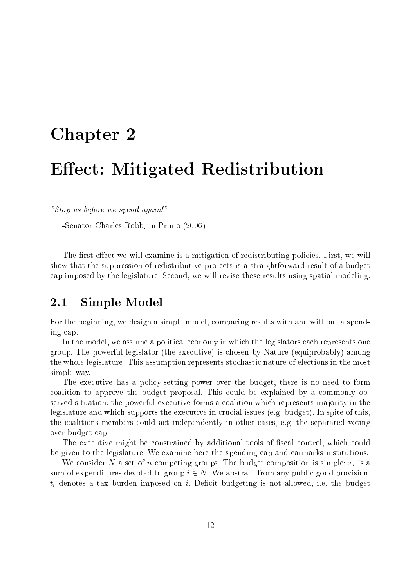## Chapter 2014 2022 2023

## Ee
t: Mitigated Redistribution

"Stop us before we spend again!"

-Senator Charles Robb, in Primo (2006)

The first effect we will examine is a mitigation of redistributing policies. First, we will show that the suppression of redistributive projects is a straightforward result of a budget ap imposed by the legislature. Se
ond, we will revise these results using spatial modeling.

### 2.1 Simple Model

For the beginning, we design a simple model, comparing results with and without a spending ap.

In the model, we assume a political economy in which the legislators each represents one group. The powerful legislator (the exe
utive) is hosen by Nature (equiprobably) among the whole legislature. This assumption represents sto
hasti nature of ele
tions in the most simple way.

The executive has a policy-setting power over the budget, there is no need to form coalition to approve the budget proposal. This could be explained by a commonly observed situation: the powerful executive forms a coalition which represents majority in the legislature and which supports the executive in crucial issues (e.g. budget). In spite of this, the oalitions members ould a
t independently in other ases, e.g. the separated voting over budget ap.

The executive might be constrained by additional tools of fiscal control, which could be given to the legislature. We examine here the spending cap and earmarks institutions.

We consider N a set of n competing groups. The budget composition is simple:  $x_i$  is a sum of expenditures devoted to group  $i \in N$ . We abstract from any public good provision.  $t_i$  denotes a tax burden imposed on i. Deficit budgeting is not allowed, i.e. the budget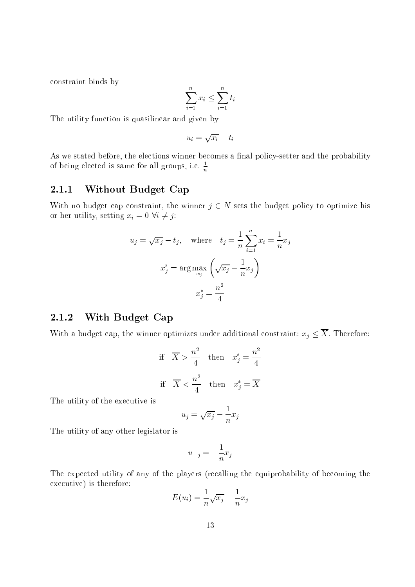onstraint binds by

$$
\sum_{i=1}^{n} x_i \le \sum_{i=1}^{n} t_i
$$

The utility function is quasilinear and given by

$$
u_i = \sqrt{x_i} - t_i
$$

As we stated before, the elections winner becomes a final policy-setter and the probability of being elected is same for all groups, i.e.  $\frac{\ }{n}$ 

#### 2.1.1Without Budget Cap

With no budget cap constraint, the winner  $j \in N$  sets the budget policy to optimize his or her utility, setting  $x_i = 0 \ \forall i \neq j$ :

$$
u_j = \sqrt{x_j} - t_j, \quad \text{where} \quad t_j = \frac{1}{n} \sum_{i=1}^n x_i = \frac{1}{n} x_j
$$

$$
x_j^* = \arg \max_{x_j} \left( \sqrt{x_j} - \frac{1}{n} x_j \right)
$$

$$
x_j^* = \frac{n^2}{4}
$$

#### 2.1.2With Budget Cap

With a budget cap, the winner optimizes under additional constraint:  $x_j \leq \overline{X}$ . Therefore:

if 
$$
\overline{X} > \frac{n^2}{4}
$$
 then  $x_j^* = \frac{n^2}{4}$   
if  $\overline{X} < \frac{n^2}{4}$  then  $x_j^* = \overline{X}$ 

The utility of the executive is

$$
u_j = \sqrt{x_j} - \frac{1}{n}x_j
$$

The utility of any other legislator is

$$
u_{-j} = -\frac{1}{n}x_j
$$

The expected utility of any of the players (recalling the equiprobability of becoming the executive) is therefore:

$$
E(u_i) = \frac{1}{n}\sqrt{x_i} - \frac{1}{n}x_j
$$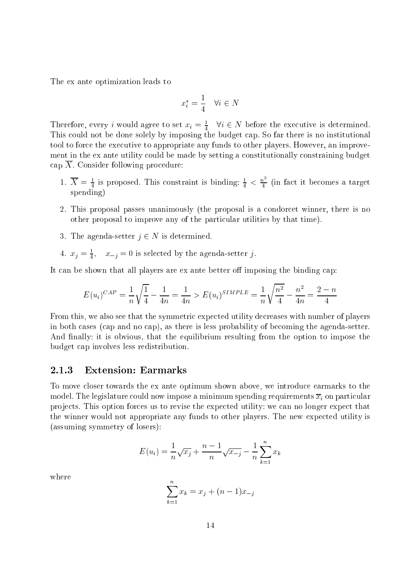The ex ante optimization leads to

$$
x^*_i = \frac{1}{4} \quad \forall i \in N
$$

Therefore, every i would agree to set  $x_i = \frac{1}{4}$   $\forall i \in \mathbb{N}$  before the executive is determined. This ould not be done solely by imposing the budget ap. So far there is no institutional tool to for
e the exe
utive to appropriate any funds to other players. However, an improvement in the ex ante utility ould be made by setting a onstitutionally onstraining budget cap  $\overline{X}$ . Consider following procedure:

- 1.  $X = \frac{1}{4}$  is proposed. This constraint is binding:  $\frac{1}{4} < \frac{n}{4}$  (in fact it becomes a target spending)
- 2. This proposal passes unanimously (the proposal is a ondor
et winner, there is no other proposal to improve any of the particular utilities by that time).
- 3. The agenda-setter  $j \in N$  is determined.
- 4.  $x_j = \frac{1}{4}$ ,  $x_{-j} = 0$  is selected by the agenda-setter  $j$ .

It can be shown that all players are ex ante better off imposing the binding cap:

$$
E(u_i)^{CAP} = \frac{1}{n} \sqrt{\frac{1}{4}} - \frac{1}{4n} = \frac{1}{4n} > E(u_i)^{SIMPLE} = \frac{1}{n} \sqrt{\frac{n^2}{4}} - \frac{n^2}{4n} = \frac{2-n}{4}
$$

From this, we also see that the symmetric expected utility decreases with number of players in both ases (
ap and no ap), as there is less probability of be
oming the agenda-setter. And finally: it is obvious, that the equilibrium resulting from the option to impose the budget ap involves less redistribution.

#### 2.1.3Extension: Earmarks

To move loser towards the ex ante optimum shown above, we introdu
e earmarks to the model. The legislature could now impose a minimum spending requirements  $\overline{x}_i$  on particular projects. This option forces us to revise the expected utility: we can no longer expect that the winner would not appropriate any funds to other players. The new expe
ted utility is (assuming symmetry of losers):

$$
E(u_i) = \frac{1}{n}\sqrt{x_i} + \frac{n-1}{n}\sqrt{x_{-i}} - \frac{1}{n}\sum_{k=1}^{n} x_k
$$

where

$$
\sum_{k=1}^{n} x_k = x_j + (n-1)x_{-j}
$$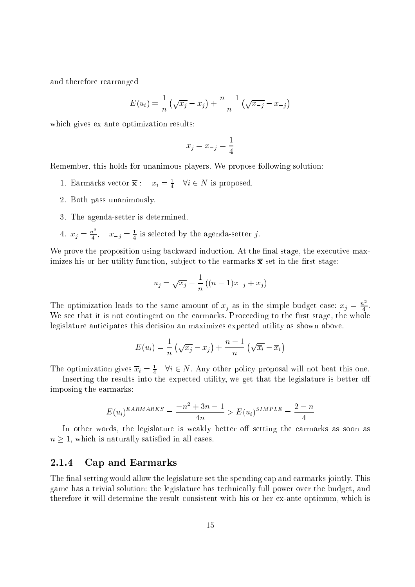and therefore rearranged

$$
E(u_i) = \frac{1}{n} \left( \sqrt{x_j} - x_j \right) + \frac{n-1}{n} \left( \sqrt{x_{-j}} - x_{-j} \right)
$$

whi
h gives ex ante optimization results:

$$
x_j = x_{-j} = \frac{1}{4}
$$

Remember, this holds for unanimous players. We propose following solution:

- 1. Earmarks vector  $\mathbf{x}: \quad x_i = \frac{1}{4} \quad \forall i \in \mathbb{N}$  is proposed.
- 2. Both pass unanimously.
- 3. The agenda-setter is determined.
- 4.  $x_j = \frac{n}{4}$ ,  $x_{-j} = \frac{1}{4}$  is selected by the agenda-setter j.

We prove the proposition using backward induction. At the final stage, the executive maximizes his or her utility function, subject to the earmarks  $\bar{x}$  set in the first stage:

$$
u_j = \sqrt{x_j} - \frac{1}{n}((n-1)x_{-j} + x_j)
$$

The optimization leads to the same amount of  $x_j$  as in the simple budget case:  $x_j = \frac{n^2}{4}$ . We see that it is not contingent on the earmarks. Proceeding to the first stage, the whole legislature anticipates this decision an maximizes expected utility as shown above.

$$
E(u_i) = \frac{1}{n} \left( \sqrt{x_j} - x_j \right) + \frac{n-1}{n} \left( \sqrt{\overline{x}_i} - \overline{x}_i \right)
$$

The optimization gives  $x_i = \frac{1}{4}$   $\forall i \in N$ . Any other policy proposal will not beat this one.

Inserting the results into the expected utility, we get that the legislature is better off imposing the earmarks:

$$
E(u_i)^{EARMARKS} = \frac{-n^2 + 3n - 1}{4n} > E(u_i)^{SIMPLE} = \frac{2 - n}{4}
$$

In other words, the legislature is weakly better off setting the earmarks as soon as n is naturally satisfactory in all  $\mathcal{A}$  is naturally satisfactory in all  $\mathcal{A}$  is naturally satisfactory in a

#### 2.1.4Cap and Earmarks

The final setting would allow the legislature set the spending cap and earmarks jointly. This game has a trivial solution: the legislature has te
hni
ally full power over the budget, and therefore it will determine the result consistent with his or her ex-ante optimum, which is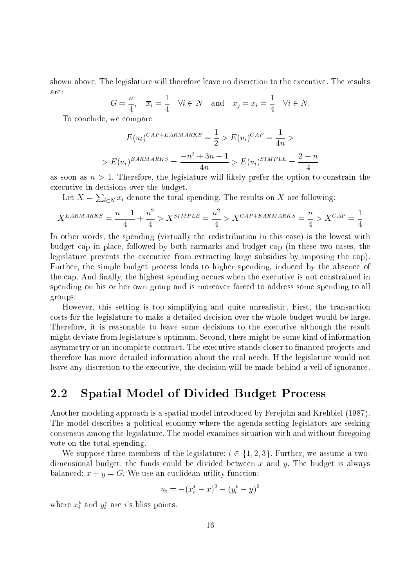shown above. The legislature will therefore leave no discretion to the executive. The results are:

$$
G = \frac{n}{4}, \quad \overline{x}_i = \frac{1}{4} \quad \forall i \in N \quad \text{and} \quad x_j = x_i = \frac{1}{4} \quad \forall i \in N.
$$

To on
lude, we ompare

$$
E(u_i)^{CAP+EARMARKS} = \frac{1}{2} > E(u_i)^{CAP} = \frac{1}{4n} >
$$

$$
> E(u_i)^{EARMARKS} = \frac{-n^2 + 3n - 1}{4n} > E(u_i)^{SIMPLE} = \frac{2 - n}{4}
$$

as soon as  $n > 1$ . Therefore, the legislature will likely prefer the option to constrain the executive in decisions over the budget.

Let  $X = \sum_{i \in N} x_i$  denote the total spending. The results on X are following:

$$
X^{EARMARKS} = \frac{n-1}{4} + \frac{n^2}{4} > X^{SIMPLE} = \frac{n^2}{4} > X^{CAP + EARMARKS} = \frac{n}{4} > X^{CAP} = \frac{1}{4}
$$

In other words, the spending (virtually the redistribution in this case) is the lowest with budget ap in pla
e, followed by both earmarks and budget ap (in these two ases, the legislature prevents the executive from extracting large subsidies by imposing the cap). Further, the simple budget process leads to higher spending, induced by the absence of the cap. And finally, the highest spending occurs when the executive is not constrained in spending on his or her own group and is moreover for
ed to address some spending to all groups.

However, this setting is too simplifying and quite unrealisti
. First, the transa
tion osts for the legislature to make a detailed de
ision over the whole budget would be large. Therefore, it is reasonable to leave some decisions to the executive although the result might deviate from legislature's optimum. Second, there might be some kind of information asymmetry or an incomplete contract. The executive stands closer to financed projects and therefore has more detailed information about the real needs. If the legislature would not leave any discretion to the executive, the decision will be made behind a veil of ignorance.

#### 2.2 Spatial Model of Divided Budget Process

Another modeling approach is a spatial model introduced by Ferejohn and Krehbiel (1987). The model describes a political economy where the agenda-setting legislators are seeking onsensus among the legislature. The model examines situation with and without foregoing vote on the total spending.

We suppose three members of the legislature:  $i \in \{1, 2, 3\}$ . Further, we assume a twodimensional budget: the funds could be divided between x and y. The budget is always balanced:  $x + y = G$ . We use an euclidean utility function:

$$
u_i = -(x_i^* - x)^2 - (y_i^* - y)^2
$$

where  $x_i^*$  and  $y_i^*$  are *i*'s bliss points.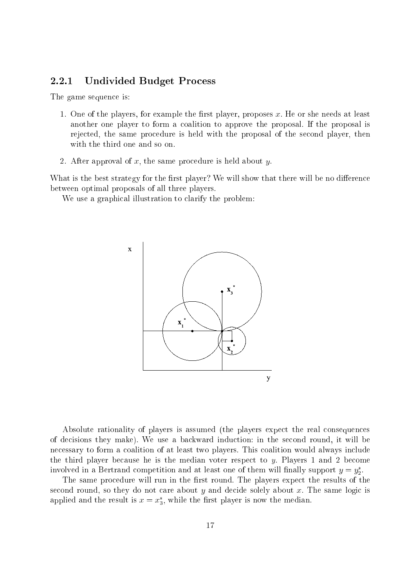#### 2.2.1 Undivided Budget Pro
ess

The game sequence is:

- 1. One of the players, for example the first player, proposes  $x$ . He or she needs at least another one player to form a oalition to approve the proposal. If the proposal is rejected, the same procedure is held with the proposal of the second player, then with the third one and so on.
- 2. After approval of x, the same procedure is held about y.

What is the best strategy for the first player? We will show that there will be no difference between optimal proposals of all three players.

We use a graphical illustration to clarify the problem:



Absolute rationality of players is assumed (the players expe
t the real onsequen
es of de
isions they make). We use a ba
kward indu
tion: in the se
ond round, it will be necessary to form a coalition of at least two players. This coalition would always include the third player because he is the median voter respect to  $y$ . Players 1 and 2 become involved in a Bertrand competition and at least one of them will mally support  $y = y_2$ .

The same procedure will run in the first round. The players expect the results of the second round, so they do not care about  $y$  and decide solely about  $x$ . The same logic is applied and the result is  $x=x_3,$  while the first player is now the median.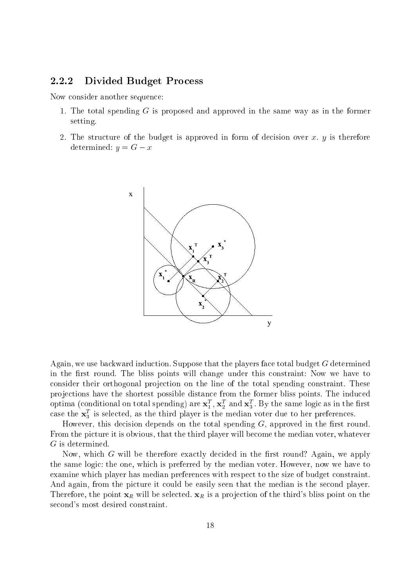#### 2.2.2 Divided Budget Pro
ess

Now consider another sequence:

- 1. The total spending <sup>G</sup> is proposed and approved in the same way as in the former setting.
- 2. The structure of the budget is approved in form of decision over x, y is therefore determined:  $y = G - x$



Again, we use backward induction. Suppose that the players face total budget G determined in the first round. The bliss points will change under this constraint: Now we have to consider their orthogonal projection on the line of the total spending constraint. These projections have the shortest possible distance from the former bliss points. The induced optima (conditional on total spending) are  $\mathbf{x}_1$  ,  $\mathbf{x}_2$  and  $\mathbf{x}_3$  . By the same logic as in the first case the  $\mathbf{x}_3$  is selected, as the third player is the median voter due to her preferences.

However, this decision depends on the total spending  $G$ , approved in the first round. From the picture it is obvious, that the third player will become the median voter, whatever

Now, which  $G$  will be therefore exactly decided in the first round? Again, we apply the same logic: the one, which is preferred by the median voter. However, now we have to examine which player has median preferences with respect to the size of budget constraint. And again, from the picture it could be easily seen that the median is the second player. Therefore, the point  $x_R$  will be selected.  $x_R$  is a projection of the third's bliss point on the second's most desired constraint.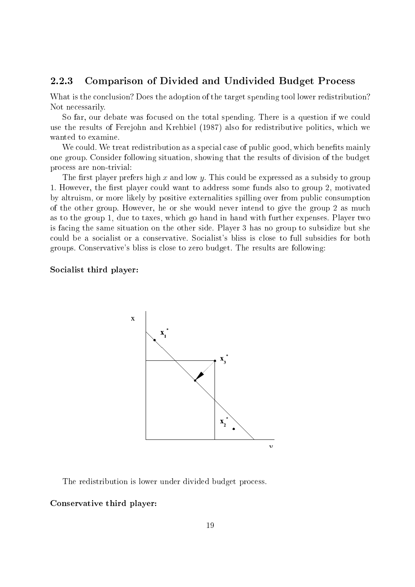#### 2.2.3 Comparison of Divided and Undivided Budget Pro
ess

What is the conclusion? Does the adoption of the target spending tool lower redistribution? Not ne
essarily.

So far, our debate was focused on the total spending. There is a question if we could use the results of Ferejohn and Krehbiel (1987) also for redistributive politics, which we wanted to examine.

We could. We treat redistribution as a special case of public good, which benefits mainly one group. Consider following situation, showing that the results of division of the budget pro
ess are non-trivial:

The first player prefers high  $x$  and low  $y$ . This could be expressed as a subsidy to group 1. However, the first player could want to address some funds also to group 2, motivated by altruism, or more likely by positive externalities spilling over from public consumption of the other group. However, he or she would never intend to give the group 2 as mu
h as to the group 1, due to taxes, whi
h go hand in hand with further expenses. Player two is fa
ing the same situation on the other side. Player 3 has no group to subsidize but she could be a socialist or a conservative. Socialist's bliss is close to full subsidies for both groups. Conservative's bliss is lose to zero budget. The results are following:

#### Socialist third player:



The redistribution is lower under divided budget process.

#### Conservative third player: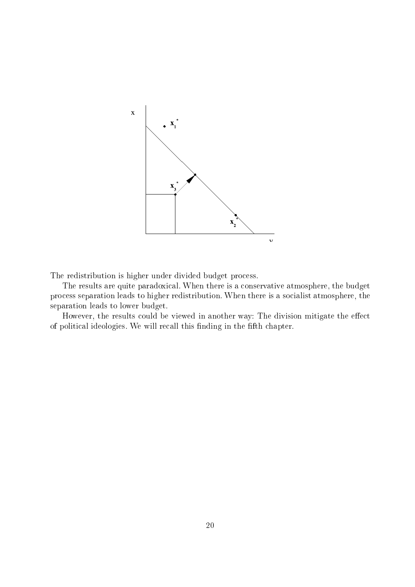

The redistribution is higher under divided budget process.

The results are quite paradoxical. When there is a conservative atmosphere, the budget process separation leads to higher redistribution. When there is a socialist atmosphere, the separation leads to lower budget.

However, the results could be viewed in another way: The division mitigate the effect of political ideologies. We will recall this finding in the fifth chapter.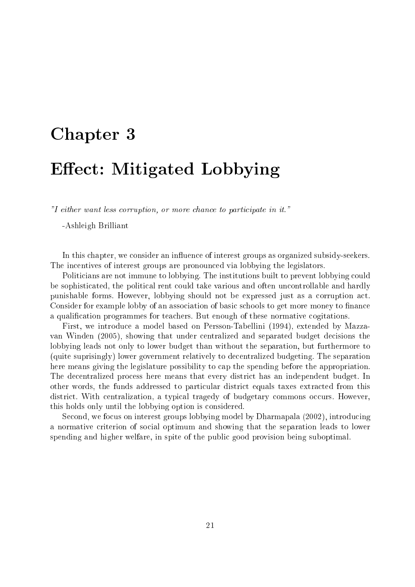## Chapter 3 September 3 September 3 September 3 September 3 September 3 September 3 September 3 September 3 September 3 September 3 September 3 September 3 September 3 September 3 September 3 September 3 September 3 Septembe Ee
t: Mitigated Lobbying

"I either want less corruption, or more chance to participate in it."

-Ashleigh Brilliant

In this chapter, we consider an influence of interest groups as organized subsidy-seekers. The in
entives of interest groups are pronoun
ed via lobbying the legislators.

Politicians are not immune to lobbying. The institutions built to prevent lobbying could be sophisticated, the political rent could take various and often uncontrollable and hardly punishable forms. However, lobbying should not be expressed just as a orruption a
t. Consider for example lobby of an association of basic schools to get more money to finance a qualification programmes for teachers. But enough of these normative cogitations.

First, we introdu
e a model based on Persson-Tabellini (1994), extended by Mazzavan Winden (2005), showing that under centralized and separated budget decisions the lobbying leads not only to lower budget than without the separation, but furthermore to (quite suprisingly) lower government relatively to de
entralized budgeting. The separation here means giving the legislature possibility to ap the spending before the appropriation. The de
entralized pro
ess here means that every distri
t has an independent budget. In other words, the funds addressed to particular district equals taxes extracted from this district. With centralization, a typical tragedy of budgetary commons occurs. However, this holds only until the lobbying option is onsidered.

Second, we focus on interest groups lobbying model by Dharmapala (2002), introducing a normative criterion of social optimum and showing that the separation leads to lower spending and higher welfare, in spite of the publi good provision being suboptimal.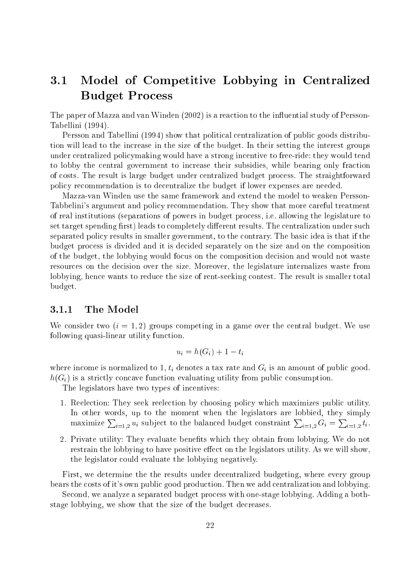## 3.1 Model of Competitive Lobbying in Centralized Budget Pro
ess

The paper of Mazza and van Winden (2002) is a reaction to the influential study of Persson-Tabellini (1994).

Persson and Tabellini (1994) show that political centralization of public goods distribution will lead to the in
rease in the size of the budget. In their setting the interest groups under entralized poli
ymaking would have a strong in
entive to free-ride: they would tend to lobby the central government to increase their subsidies, while bearing only fraction of osts. The result is large budget under entralized budget pro
ess. The straightforward poli
y re
ommendation is to de
entralize the budget if lower expenses are needed.

Mazza-van Winden use the same framework and extend the model to weaken Persson-Tabbelini's argument and policy recommendation. They show that more careful treatment of real institutions (separations of powers in budget pro
ess, i.e. allowing the legislature to set target spending first) leads to completely different results. The centralization under such separated policy results in smaller government, to the contrary. The basic idea is that if the budget pro
ess is divided and it is de
ided separately on the size and on the omposition of the budget, the lobbying would fo
us on the omposition de
ision and would not waste resources on the decision over the size. Moreover, the legislature internalizes waste from lobbying, hence wants to reduce the size of rent-seeking contest. The result is smaller total budget.

#### 3.1.1The Model

We consider two  $(i = 1, 2)$  groups competing in a game over the central budget. We use following quasi-linear utility function.

$$
u_i = h(G_i) + 1 - t_i
$$

where income is normalized to 1,  $t_i$  denotes a tax rate and  $G_i$  is an amount of public good.  $h(G_i)$  is a strictly concave function evaluating utility from public consumption.

The legislators have two types of incentives:

- 1. Reelection: They seek reelection by choosing policy which maximizes public utility. In other words, up to the moment when the legislators are lobbied, they simply maximize  $\sum_{i=1,2} u_i$  subject to the balanced budget constraint  $\sum_{i=1,2} G_i = \sum_{i=1,2} t_i$ .
- 2. Private utility: They evaluate benefits which they obtain from lobbying. We do not restrain the lobbying to have positive effect on the legislators utility. As we will show, the legislator ould evaluate the lobbying negatively.

First, we determine the the results under decentralized budgeting, where every group bears the osts of it's own publi good produ
tion. Then we add entralization and lobbying.

Second, we analyze a separated budget process with one-stage lobbying. Adding a bothstage lobbying, we show that the size of the budget decreases.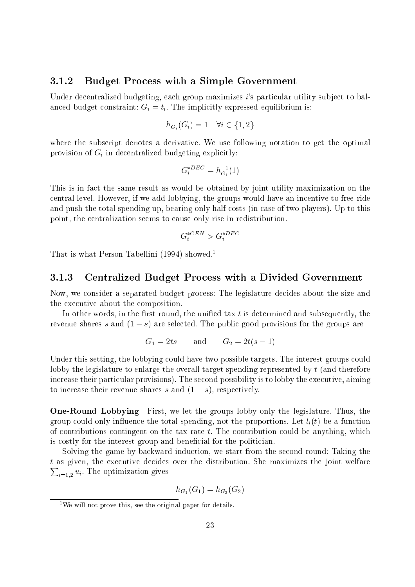#### 3.1.2 Budget Pro
ess with <sup>a</sup> Simple Government

Under decentralized budgeting, each group maximizes *i*'s particular utility subject to balanced budget constraint:  $G_i = t_i$ . The implicitly expressed equilibrium is:

$$
h_{G_i}(G_i) = 1 \quad \forall i \in \{1, 2\}
$$

where the subscript denotes a derivative. We use following notation to get the optimal provision of  $G_i$  in decentralized budgeting explicitly:

$$
G_i^{*DEC} = h_{G_i}^{-1}(1)
$$

Gi

This is in fact the same result as would be obtained by joint utility maximization on the entral level. However, if we add lobbying, the groups would have an in
entive to free-ride and push the total spending up, bearing only half costs (in case of two players). Up to this point, the entralization seems to ause only rise in redistribution.

$$
G_i^{*CEN} > G_i^{*DEC}
$$

That is what Person-Tabellini (1994) showed.1

#### 3.1.3Centralized Budget Pro
ess with <sup>a</sup> Divided Government

Now, we consider a separated budget process: The legislature decides about the size and the executive about the composition.

In other words, in the first round, the unified tax  $t$  is determined and subsequently, the revenue shares s and  $(1-s)$  are selected. The public good provisions for the groups are

$$
G_1 = 2ts \qquad \text{and} \qquad G_2 = 2t(s-1)
$$

Under this setting, the lobbying could have two possible targets. The interest groups could lobby the legislature to enlarge the overall target spending represented by <sup>t</sup> (and therefore increase their particular provisions). The second possibility is to lobby the executive, aiming to increase their revenue shares s and  $(1-s)$ , respectively.

One-Round Lobbying First, we let the groups lobby only the legislature. Thus, the and the total spending, not to the proportions of the spending, not the proportions. Let if  $\{t\}$  be a function of contributions contingent on the tax rate t. The contribution could be anything, which is costly for the interest group and beneficial for the politician.

Solving the game by backward induction, we start from the second round: Taking the t as given, the execute decement over the maximizes the give maximizes the joint welfare  $\overline{\phantom{a}}$  $\imath$ =1,2  $\cdots$   $\cdots$   $\cdots$   $\cdots$   $\cdots$ 

$$
h_{G_1}(G_1) = h_{G_2}(G_2)
$$

<sup>1</sup>We will not prove this, see the original paper for details.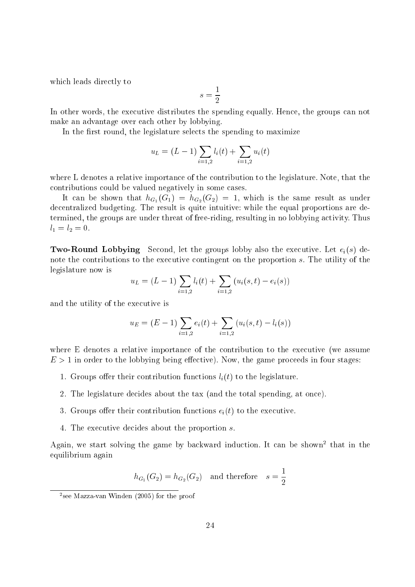which leads directly to

$$
s=\frac{1}{2}
$$

In other words, the executive distributes the spending equally. Hence, the groups can not make an advantage over ea
h other by lobbying.

In the first round, the legislature selects the spending to maximize

$$
u_L = (L - 1) \sum_{i=1,2} l_i(t) + \sum_{i=1,2} u_i(t)
$$

where L denotes a relative importance of the contribution to the legislature. Note, that the ontributions ould be valued negatively in some ases.

It can be shown that  $h_{G_1}(G_1) = h_{G_2}(G_2) = 1$ , which is the same result as under de
entralized budgeting. The result is quite intuitive: while the equal proportions are determined, the groups are under threat of free-riding, resulting in no lobbying activity. Thus  $l_1 = l_2 = 0.$ 

**Two-Round Lobbying** Second, let the groups lobby also the executive. Let  $e_i(s)$  denote the contributions to the executive contingent on the proportion s. The utility of the legislature now is

$$
u_L = (L-1) \sum_{i=1,2} l_i(t) + \sum_{i=1,2} (u_i(s,t) - e_i(s))
$$

and the utility of the executive is

$$
u_E = (E - 1) \sum_{i=1,2} e_i(t) + \sum_{i=1,2} (u_i(s, t) - l_i(s))
$$

where E denotes a relative importance of the contribution to the executive (we assume E <sup>&</sup>gt; 1 in order to the lobbying being ee
tive). Now, the game pro
eeds in four stages:

- 1. Groups oer their ontribution fun
tions <sup>l</sup> i(t) to the legislature.
- 2. The legislature decides about the tax (and the total spending, at once).
- 3. Groups offer their contribution functions  $e_i(t)$  to the executive.
- 4. The exe
utive de
ides about the proportion s.

Again, we start solving the game by backward induction. It can be snown-that in the equilibrium again

$$
h_{G_1}(G_2) = h_{G_2}(G_2) \quad \text{and therefore} \quad s = \frac{1}{2}
$$

<sup>2</sup> see Mazza-van Winden (2005) for the proof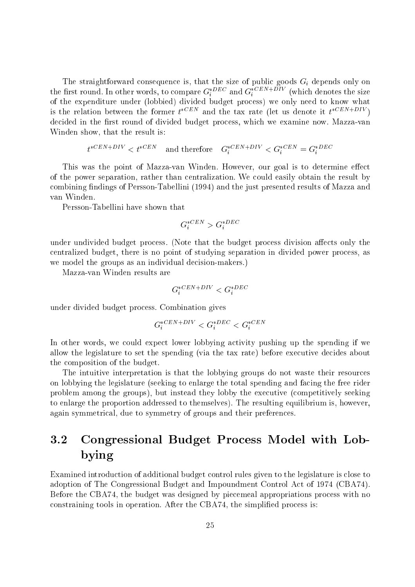onset is the straightforward consequence of the size of the size of the size of the size only only one of the size on the first round. In other words, to compare  $G_i^{\perp 2}$  and  $G_i^{\perp 2}$  and the complete the size of the expenditure under (lobbied) divided budget process) we only need to know what is the relation between the former  $t \rightarrow \infty$  and the tax rate (let us denote it  $t \rightarrow \infty$  ). decided in the first round of divided budget process, which we examine now. Mazza-van Winden show, that the result is:

$$
t^{*CEN+DIV} < t^{*CEN} \quad \text{and therefore} \quad G_i^{*CEN+DIV} < G_i^{*CEN} = G_i^{*DEC}
$$

This was the point of Mazza-van Winden. However, our goal is to determine effect of the power separation, rather than entralization. We ould easily obtain the result by combining findings of Persson-Tabellini (1994) and the just presented results of Mazza and van Winden.

Persson-Tabellini have shown that

$$
G_i^{*CEN} > G_i^{*DEC}
$$

under undivided budget process. (Note that the budget process division affects only the entralized budget, there is no point of studying separation in divided power pro
ess, as we model the groups as an individual decision-makers.)

Mazza-van Winden results are

$$
G_i^{*CEN+DIV} < G_i^{*DEC}
$$

under divided budget pro
ess. Combination gives

$$
G_i^{*CEN+DIV} < G_i^{*DEC} < G_i^{*CEN}
$$

In other words, we could expect lower lobbying activity pushing up the spending if we allow the legislature to set the spending (via the tax rate) before executive decides about the omposition of the budget.

The intuitive interpretation is that the lobbying groups do not waste their resour
es on lobbying the legislature (seeking to enlarge the total spending and fa
ing the free rider problem among the groups), but instead they lobby the executive (competitively seeking to enlarge the proportion addressed to themselves). The resulting equilibrium is, however, again symmetrical, due to symmetry of groups and their preferences.

#### Congressional Budget Process Model with Lob-3.2 bying

Examined introduction of additional budget control rules given to the legislature is close to adoption of The Congressional Budget and Impoundment Control Act of 1974 (CBA74). Before the CBA74, the budget was designed by piecemeal appropriations process with no constraining tools in operation. After the CBA74, the simplified process is: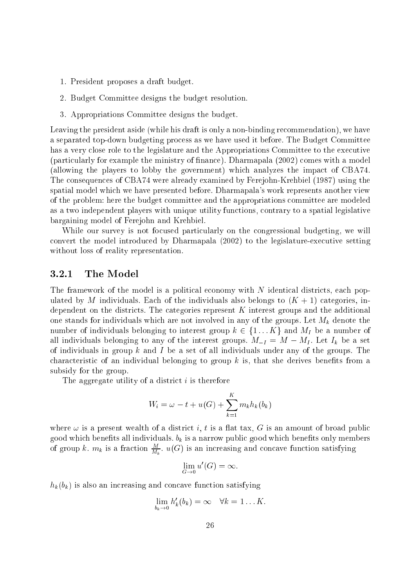- 1. President proposes a draft budget.
- 2. Budget Committee designs the budget resolution.
- 3. Appropriations Committee designs the budget.

Leaving the president aside (while his draft is only a non-binding recommendation), we have a separated top-down budgeting pro
ess as we have used it before. The Budget Committee has a very close role to the legislature and the Appropriations Committee to the executive (parti
ularly for example the ministry of nan
e). Dharmapala (2002) omes with a model (allowing the players to lobby the government) whi
h analyzes the impa
t of CBA74. The onsequen
es of CBA74 were already examined by Ferejohn-Krehbiel (1987) using the spatial model which we have presented before. Dharmapala's work represents another view of the problem: here the budget ommittee and the appropriations ommittee are modeled as a two independent players with unique utility functions, contrary to a spatial legislative bargaining model of Ferejohn and Krehbiel.

While our survey is not focused particularly on the congressional budgeting, we will onvert the model introdu
ed by Dharmapala (2002) to the legislature-exe
utive setting without loss of reality representation.

#### 3.2.1The Model

The framework of the model is a political economy with  $N$  identical districts, each populated by M individuals. Each of the individuals also belongs to  $(K + 1)$  categories, independent on the districts. The categories represent  $K$  interest groups and the additional one stands for individuals which are not involved in any of the groups. Let  $M_k$  denote the number of individuals belonging to interest group  $k \in \{1...K\}$  and  $M_I$  be a number of all individuals belonging to any of the interest groups.  $M_{-I} = M - M_I$ . Let  $I_k$  be a set of individuals in group k and I be a set of all individuals under any of the groups. The characteristic of an individual belonging to group  $k$  is, that she derives benefits from a subsidy for the group.

The aggregate utility of a district  $i$  is therefore

$$
W_i = \omega - t + u(G) + \sum_{k=1}^{K} m_k h_k(b_k)
$$

where  $\omega$  is a present wealth of a district i, t is a flat tax, G is an amount of broad public good which benefits all individuals.  $b_k$  is a narrow public good which benefits only members of group  $\kappa$ .  $m_k$  is a fraction  $\frac{1}{M_k}$ .  $u(G)$  is an increasing and concave function satisfying

$$
\lim_{G \to 0} u'(G) = \infty.
$$

 $h_k(b_k)$  is also an increasing and concave function satisfying

$$
\lim_{b_k\to 0}h'_k(b_k)=\infty \quad \forall k=1...K.
$$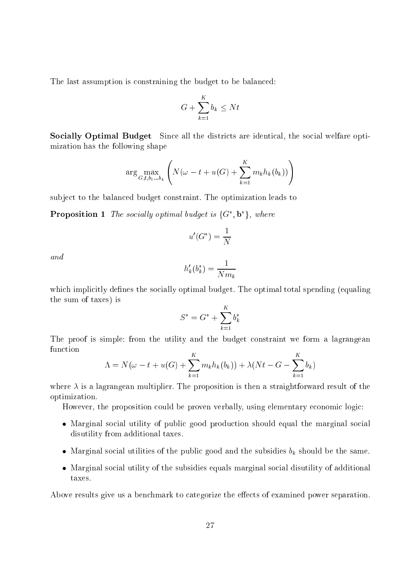The last assumption is constraining the budget to be balanced:

$$
G + \sum_{k=1}^{K} b_k \le Nt
$$

Socially Optimal Budget Since all the districts are identical, the social welfare optimization has the following shape

$$
\arg \max_{G, t, b_1 \dots b_k} \left( N(\omega - t + u(G) + \sum_{k=1}^K m_k h_k(b_k)) \right)
$$

subject to the balanced budget constraint. The optimization leads to

**Proposition 1** The socially optimal budget is  $\{G, G\}$ , where

$$
u'(G^*) = \frac{1}{N}
$$

and

$$
h_k'(b_k^*) = \frac{1}{Nm_k}
$$

which implicitly defines the socially optimal budget. The optimal total spending (equaling the sum of taxes) is

$$
S^* = G^* + \sum_{k=1}^K b_k^*
$$

The proof is simple: from the utility and the budget constraint we form a lagrangean function

$$
\Lambda = N(\omega - t + u(G) + \sum_{k=1}^{K} m_k h_k(b_k)) + \lambda (Nt - G - \sum_{k=1}^{K} b_k)
$$

where  $\lambda$  is a lagrangean multiplier. The proposition is then a straightforward result of the optimization.

However, the proposition could be proven verbally, using elementary economic logic:

- is in good collections where  $\alpha$  is public to produce the marginal the marginal solution of  $\alpha$ disutility from additional taxes.
- $\Omega$  utilities of the subsidies bk should be the subsidies bk should be the same.
- Marginal so
ial utility of the subsidies equals marginal so
ial disutility of additional taxes.

Above results give us a benchmark to categorize the effects of examined power separation.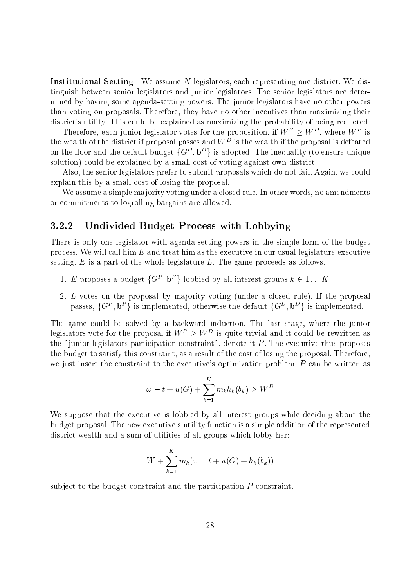**Institutional Setting** We assume N legislators, each representing one district. We distinguish between senior legislators and junior legislators. The senior legislators are determined by having some agenda-setting powers. The junior legislators have no other powers than voting on proposals. Therefore, they have no other in
entives than maximizing their district's utility. This could be explained as maximizing the probability of being reelected.

Therefore, each funior legislator votes for the proposition, if  $W^+ \geq W^-$ , where  $W^+$  is the wealth of the district if proposal passes and  $W$  . Is the wealth if the proposal is defeated on the hoor and the default budget  $\{G^-, D^+\}$  is adopted. The inequality (to ensure unique solution) could be explained by a small cost of voting against own district.

Also, the senior legislators prefer to submit proposals which do not fail. Again, we could explain this by a small cost of losing the proposal.

We assume a simple majority voting under a closed rule. In other words, no amendments or ommitments to logrolling bargains are allowed.

#### 3.2.2Undivided Budget Pro
ess with Lobbying

There is only one legislator with agenda-setting powers in the simple form of the budget process. We will call  $\lim E$  and treat  $\lim$  as the executive in our usual legislature-executive setting.  $E$  is a part of the whole legislature  $L$ . The game proceeds as follows.

- 1. E proposes a budget  $\{G, B\}$  fobbied by all interest groups  $k \in 1 \dots K$
- 2. L votes on the proposal by majority voting (under a closed rule). If the proposal passes,  $\{G^-, D^-\}$  is implemented, otherwise the default  $\{G^-, D^-\}$  is implemented.

The game could be solved by a backward induction. The last stage, where the junior regisfators vote for the proposal if  $W^+ \geq W^-$  is quite trivial and it could be rewritten as the "junior legislators participation constraint", denote it  $P$ . The executive thus proposes the budget to satisfy this onstraint, as a result of the ost of losing the proposal. Therefore, we just insert the constraint to the executive's optimization problem. P can be written as

$$
\omega - t + u(G) + \sum_{k=1}^{K} m_k h_k(b_k) \ge W^D
$$

We suppose that the executive is lobbied by all interest groups while deciding about the budget proposal. The new exe
utive's utility fun
tion is a simple addition of the represented district wealth and a sum of utilities of all groups which lobby her:

$$
W + \sum_{k=1}^{K} m_k(\omega - t + u(G) + h_k(b_k))
$$

subject to the budget constraint and the participation  $P$  constraint.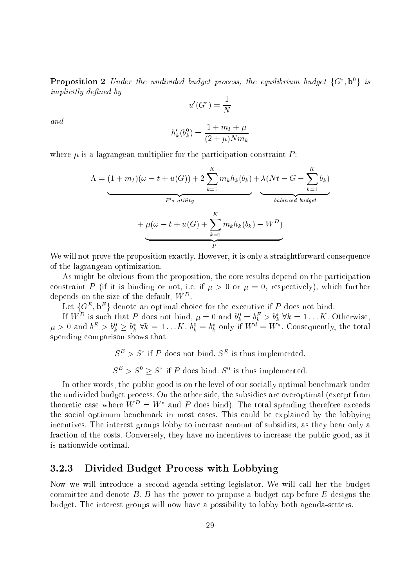**Proposition 2** Under the unaivaged budget process, the equilibrium budget  $\{G, D\}$  is implicitly defined by

$$
u'(G^*) = \frac{1}{N}
$$

and

$$
h'_{k}(b_{k}^{0}) = \frac{1 + m_{I} + \mu}{(2 + \mu)Nm_{k}}
$$

where  $\mu$  is a lagrangean multiplier for the participation constraint  $P$ :

$$
\Lambda = (1 + m_I)(\omega - t + u(G)) + 2\sum_{k=1}^{K} m_k h_k(b_k) + \lambda(Nt - G - \sum_{k=1}^{K} b_k)
$$
  

$$
+ \mu(\omega - t + u(G) + \sum_{k=1}^{K} m_k h_k(b_k) - W^D)
$$

We will not prove the proposition exactly. However, it is only a straightforward consequence of the lagrangean optimization.

As might be obvious from the proposition, the core results depend on the participation constraint P (if it is binding or not, i.e. if  $\mu > 0$  or  $\mu = 0$ , respectively), which further depends on the size of the default,  $W^-$ .

Let  $\{G_-, D_-\}$  denote an optimal choice for the executive if  $F$  does not bind.

If  $W^-$  is such that P does not bind,  $\mu = 0$  and  $v_k = v_k > v_k$   $\forall \kappa = 1...K$ . Otherwise,  $\mu > 0$  and  $v^- > v_k^- \geq v_k$  vk = 1...A.  $v_k^- = v_k$  only if  $W^+ = W^-$  . Consequently, the total spending omparison shows that

 $S^- > S$  if P does not bind.  $S^-$  is thus implemented.

 $S \supseteq S \supseteq S$  if P does bind. S° is thus implemented.

In other words, the public good is on the level of our socially optimal benchmark under the undivided budget pro
ess. On the other side, the subsidies are overoptimal (ex
ept from theoretic case where  $W^+ = W$  and P does bind). The total spending therefore exceeds the social optimum benchmark in most cases. This could be explained by the lobbying incentives. The interest groups lobby to increase amount of subsidies, as they bear only a fraction of the costs. Conversely, they have no incentives to increase the public good, as it is nationwide optimal.

#### 3.2.3Divided Budget Pro
ess with Lobbying

Now we will introdu
e a se
ond agenda-setting legislator. We will all her the budget committee and denote  $B$ .  $B$  has the power to propose a budget cap before  $E$  designs the budget. The interest groups will now have a possibility to lobby both agenda-setters.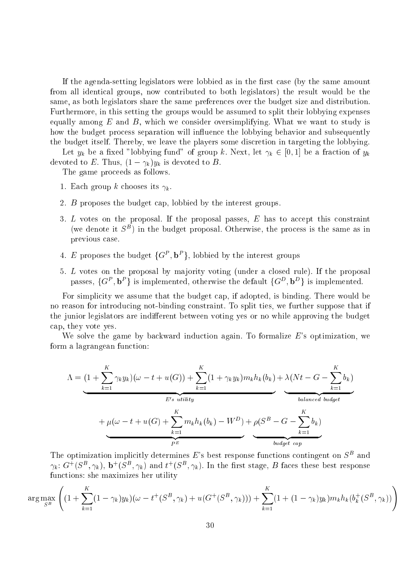If the agenda-setting legislators were lobbied as in the first case (by the same amount from all identi
al groups, now ontributed to both legislators) the result would be the same, as both legislators share the same preferen
es over the budget size and distribution. Furthermore, in this setting the groups would be assumed to split their lobbying expenses equally among  $E$  and  $B$ , which we consider oversimplifying. What we want to study is how the budget process separation will influence the lobbying behavior and subsequently the budget itself. Thereby, we leave the players some discretion in targeting the lobbying.

Let  $y_k$  be a fixed "lobbying fund" of group k. Next, let  $\gamma_k \in [0,1]$  be a fraction of  $y_k$ devoted to E. Thus,  $(1 - \gamma_k)y_k$  is devoted to B.

The game proceeds as follows.

- 1. Each group k chooses its  $\gamma_k$ .
- 2. *B* proposes the budget cap, lobbied by the interest groups.
- 3. L votes on the proposal. If the proposal passes,  $E$  has to accept this constraint (we denote it  $S$  ) in the budget proposal. Otherwise, the process is the same as in previous ase.
- $4.$  E proposes the budget  $\{G^{\ast}, D^{\ast}\}$ , lobbied by the interest groups
- 5. <sup>L</sup> votes on the proposal by ma jority voting (under a losed rule). If the proposal passes,  $\{G^-, D^-\}$  is implemented, otherwise the default  $\{G^-, D^-\}$  is implemented.

For simplicity we assume that the budget cap, if adopted, is binding. There would be no reason for introducing not-binding constraint. To split ties, we further suppose that if the junior legislators are indifferent between voting yes or no while approving the budget ap, they vote yes.

We solve the game by backward induction again. To formalize  $E$ 's optimization, we form a lagrangean fun
tion:

$$
\Lambda = \underbrace{(1 + \sum_{k=1}^{K} \gamma_k y_k)(\omega - t + u(G)) + \sum_{k=1}^{K} (1 + \gamma_k y_k) m_k h_k(b_k) + \lambda (Nt - G - \sum_{k=1}^{K} b_k)}_{E's \text{ utility}} + \mu(\omega - t + u(G) + \sum_{k=1}^{K} m_k h_k(b_k) - W^D) + \rho(S^B - G - \sum_{k=1}^{K} b_k)}_{budget \text{ } cap}
$$

The optimization implicitly determines E's best response functions contingent on  $S<sup>B</sup>$  and  $\gamma_k$ : G+(S<sup>-</sup>,  $\gamma_k$ ), **b**+(S<sup>-</sup>,  $\gamma_k$ ) and t+(S<sup>-</sup>,  $\gamma_k$ ). In the first stage, B faces these best response fun
tions: she maximizes her utility

$$
\arg\max_{S^B} \left( (1 + \sum_{k=1}^K (1 - \gamma_k) y_k)(\omega - t^+(S^B, \gamma_k) + u(G^+(S^B, \gamma_k))) + \sum_{k=1}^K (1 + (1 - \gamma_k) y_k) m_k h_k(b_k^+(S^B, \gamma_k)) \right)
$$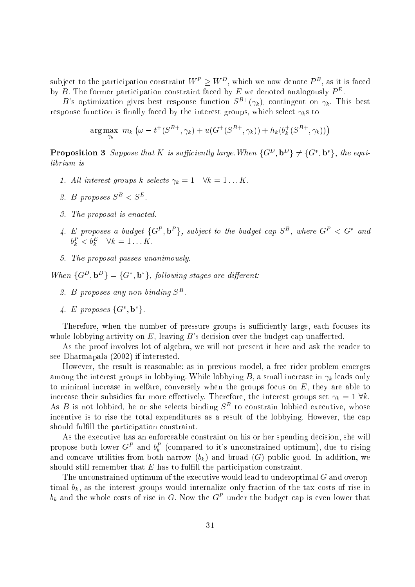subject to the participation constraint  $W \to W$  , which we now denote  $P$  , as it is faced by  $D$ . The former participation constraint faced by  $E$  we denoted analogously  $F$  .

B's optimization gives best response function  $S^{B+}(\gamma_k)$ , contingent on  $\gamma_k$ . This best response function is finally faced by the interest groups, which select  $\gamma_k$ s to

$$
\arg \max_{\gamma_k} \ m_k \ (\omega - t^+(S^{B+}, \gamma_k) + u(G^+(S^{B+}, \gamma_k)) + h_k(b_k^+(S^{B+}, \gamma_k)))
$$

**Proposition 3** Suppose that **K** is sufficiently large.When  $\{G^-, D^-\} \neq \{G^-, D^-\}$ , the equilibrium is

- 1. All interest groups k selects  $\gamma_k = 1 \quad \forall k = 1...K$ .
- z. D proposes  $5^- \leq 5^-$ .
- 3. The proposal is ena
ted.
- 4. E proposes a buaget  $\{G^-, D^-\}$ , subject to the buaget cap  $S^-$ , where  $G^-\leq G^-$  and  $\theta_k < \theta_k$   $\forall \kappa = 1 \ldots N$ .
- 5. The proposal passes unanimously.

when  $G^-$ ,  $D^ \uparrow$   $=$   $G^-$ ,  $D^ \uparrow$ , following stages are all event.

- z.  $D$  proposes any non-binaing  $D$ .
- 4. E proposes  $\{G, D\}$ .

Therefore, when the number of pressure groups is sufficiently large, each focuses its whole lobbying activity on  $E$ , leaving  $B$ 's decision over the budget cap unaffected.

As the proof involves lot of algebra, we will not present it here and ask the reader to see Dharmapala (2002) if interested.

However, the result is reasonable: as in previous model, a free rider problem emerges among the interest groups in lobbying. While lobbying B, a small increase in  $\gamma_k$  leads only to minimal increase in welfare, conversely when the groups focus on  $E$ , they are able to increase their subsidies far more effectively. Therefore, the interest groups set  $\gamma_k = 1 \forall k$ . As  $D$  is not lobbied, he or she selects binding  $D\equiv$  to constrain lobbied executive, whose incentive is to rise the total expenditures as a result of the lobbying. However, the cap should fulfill the participation constraint.

As the executive has an enforceable constraint on his or her spending decision, she will propose both lower  $G^P$  and  $b_k^P$  (compared to it's unconstrained optimum), due to rising and concave utilities from both narrow  $(b_k)$  and broad  $(G)$  public good. In addition, we should still remember that  $E$  has to fulfill the participation constraint.

The unconstrained optimum of the executive would lead to underoptimal  $G$  and overoptimal  $b_k$ , as the interest groups would internalize only fraction of the tax costs of rise in  $v_k$  and the whole costs of rise in  $\alpha$ . Now the  $\alpha$  - under the budget cap is even lower that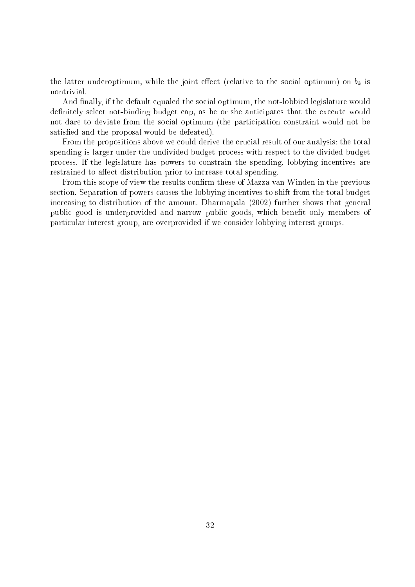the latter underoptimum, while the joint effect (relative to the social optimum) on  $b_k$  is nontrivial.

And finally, if the default equaled the social optimum, the not-lobbied legislature would definitely select not-binding budget cap, as he or she anticipates that the execute would not dare to deviate from the social optimum (the participation constraint would not be satisfied and the proposal would be defeated).

From the propositions above we could derive the crucial result of our analysis: the total spending is larger under the undivided budget pro
ess with respe
t to the divided budget pro
ess. If the legislature has powers to onstrain the spending, lobbying in
entives are restrained to affect distribution prior to increase total spending.

From this scope of view the results confirm these of Mazza-van Winden in the previous section. Separation of powers causes the lobbying incentives to shift from the total budget increasing to distribution of the amount. Dharmapala (2002) further shows that general publi good is underprovided and narrow publi goods, whi
h benet only members of parti
ular interest group, are overprovided if we onsider lobbying interest groups.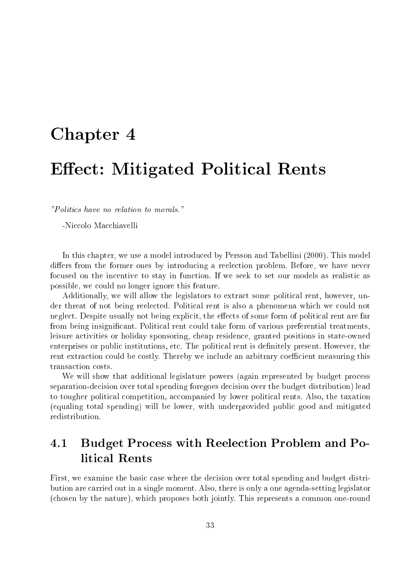## Chapter 4 Chapter 4 Chapter 4 Chapter 4 Chapter 4 Chapter 4 Chapter 4 Chapter 4 Chapter 4 Chapter 4 Chapter 4 Ee
t: Mitigated Politi
al Rents

"Politi
s have no relation to morals."

-Niccolo Macchiavelli

In this chapter, we use a model introduced by Persson and Tabellini (2000). This model differs from the former ones by introducing a reelection problem. Before, we have never focused on the incentive to stay in function. If we seek to set our models as realistic as possible, we ould no longer ignore this feature.

Additionally, we will allow the legislators to extract some political rent, however, under threat of not being reele
ted. Politi
al rent is also a phenomena whi
h we ould not neglect. Despite usually not being explicit, the effects of some form of political rent are far from being insignificant. Political rent could take form of various preferential treatments, leisure a
tivities or holiday sponsoring, heap residen
e, granted positions in state-owned enterprises or public institutions, etc. The political rent is definitely present. However, the rent extraction could be costly. Thereby we include an arbitrary coefficient measuring this transaction costs.

We will show that additional legislature powers (again represented by budget process separation-decision over total spending foregoes decision over the budget distribution) lead to tougher political competition, accompanied by lower political rents. Also, the taxation (equaling total spending) will be lower, with underprovided publi good and mitigated redistribution.

## 4.1 Budget Process with Reelection Problem and Politi
al Rents

First, we examine the basic case where the decision over total spending and budget distribution are arried out in a single moment. Also, there is only a one agenda-setting legislator (
hosen by the nature), whi
h proposes both jointly. This represents a ommon one-round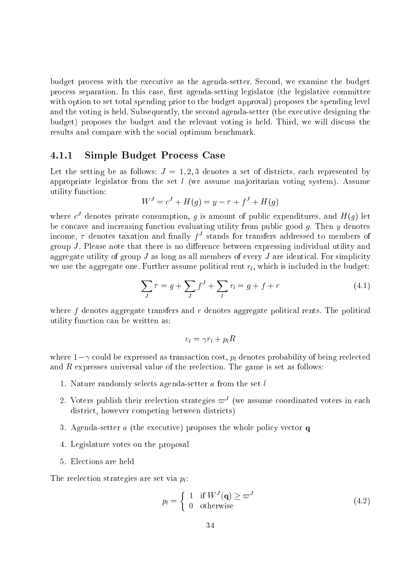budget pro
ess with the exe
utive as the agenda-setter. Se
ond, we examine the budget process separation. In this case, first agenda-setting legislator (the legislative committee with option to set total spending prior to the budget approval) proposes the spending level and the voting is held. Subsequently, the second agenda-setter (the executive designing the budget) proposes the budget and the relevant voting is held. Third, we will discuss the results and compare with the social optimum benchmark.

#### 4.1.1Simple Budget Pro
ess Case

Let the setting be as follows:  $J = 1, 2, 3$  denotes a set of districts, each represented by appropriate legislator from the set  $l$  (we assume majoritarian voting system). Assume utility fun
tion:

$$
W^{J} = c^{J} + H(g) = y - \tau + f^{J} + H(g)
$$

where  $c^{\perp}$  denotes private consumption, g is amount of public expenditures, and  $H(q)$  let be concave and increasing function evaluating utility from public good q. Then  $\eta$  denotes income, 7 denotes taxation and mially f - stands for transfers addressed to members of group  $J$ . Please note that there is no difference between expressing individual utility and aggregate utility of group  $J$  as long as all members of every  $J$  are identical. For simplicity we use the aggregate one. Further assume political rent  $r_l$ , which is included in the budget:

$$
\sum_{J} \tau = g + \sum_{J} f^{J} + \sum_{l} r_{l} = g + f + r \tag{4.1}
$$

where  $f$  denotes aggregate transfers and  $r$  denotes aggregate political rents. The political utility fun
tion an be written as:

$$
v_l = \gamma r_l + p_l R
$$

where  $1 - \gamma$  could be expressed as transaction cost,  $p_l$  denotes probability of being reelected and  $R$  expresses universal value of the reelection. The game is set as follows:

- 1. Nature randomly selects agenda-setter a from the set l
- $\,$  z. voters publish their reelection strategies  $\omega^{\perp}$  (we assume coordinated voters in each district, however competing between districts)
- 3. Agenda-setter  $a$  (the executive) proposes the whole policy vector  $q$
- 4. Legislature votes on the proposal
- 5. Ele
tions are held

The reelection strategies are set via  $p_l$ :

$$
p_l = \begin{cases} 1 & \text{if } W^J(\mathbf{q}) \ge \varpi^J \\ 0 & \text{otherwise} \end{cases}
$$
 (4.2)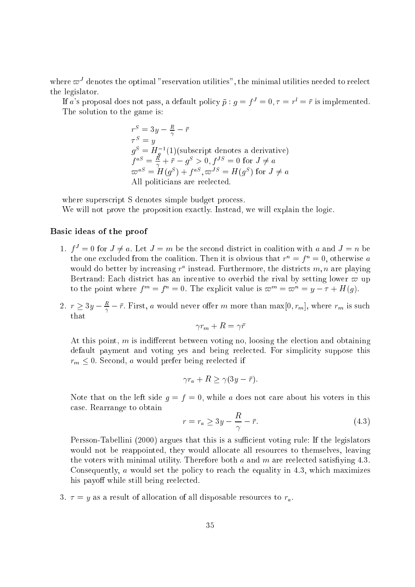where  $\omega$  -denotes the optimal -reservation utilities -, the minimal utilities needed to reelect the legislator.

If a's proposal does not pass, a default policy  $\bar{p}$  :  $q = f^J = 0$ ,  $\tau = r^l = \bar{r}$  is implemented. The solution to the game is:

$$
rS = 3y - \frac{R}{\gamma} - \bar{r}
$$
  
\n
$$
\tauS = y
$$
  
\n
$$
gS = Hg-1(1)(\text{subscript denotes a derivative})
$$
  
\n
$$
faS = \frac{R}{\gamma} + \bar{r} - gS > 0, fJS = 0 \text{ for } J \neq a
$$
  
\n
$$
\varpiaS = H(gS) + faS, \varpiJS = H(gS) \text{ for } J \neq a
$$
  
\nAll politicians are reelected.

where superscript S denotes simple budget process.

We will not prove the proposition exactly. Instead, we will explain the logic.

#### Basi ideas of the proof

- 1.  $f^* = 0$  for  $J \neq a$ . Let  $J = m$  be the second district in coalition with a and  $J = n$  be the one excluded from the coalition. Then it is obvious that  $r = 1 = 0$ , otherwise  $a$ would do better by increasing  $r^*$  instead. Furthermore, the districts  $m, n$  are playing Bertrand: Each district has an incentive to overbid the rival by setting lower  $\varpi$  up to the point where  $t^m \equiv t^m \equiv 0$ . The explicit value is  $\omega^m \equiv \omega^m \equiv y^m = \eta + \pi(q)$ .
- 2.  $r \geq 3y \frac{1}{\gamma} r$ . First, a would never offer m more than max $[0, r_m]$ , where  $r_m$  is such that

$$
\gamma r_m + R = \gamma \bar{r}
$$

At this point,  $m$  is indifferent between voting no, loosing the election and obtaining default payment and voting yes and being reelected. For simplicity suppose this  $r_m \leq 0$ . Second, a would prefer being reelected if

$$
\gamma r_a + R \ge \gamma (3y - \bar{r}).
$$

Note that on the left side  $g = f = 0$ , while a does not care about his voters in this ase. Rearrange to obtain

$$
r = r_a \ge 3y - \frac{R}{\gamma} - \bar{r}.\tag{4.3}
$$

Persson-Tabellini (2000) argues that this is a sufficient voting rule: If the legislators would not be reappointed, they would allocate all resources to themselves, leaving the voters with minimal utility. Therefore both  $a$  and  $m$  are reelected satisfiying 4.3. Consequently, a would set the policy to reach the equality in 4.3, which maximizes his payoff while still being reelected.

3.  $\tau = y$  as a result of allocation of all disposable resources to  $r_a$ .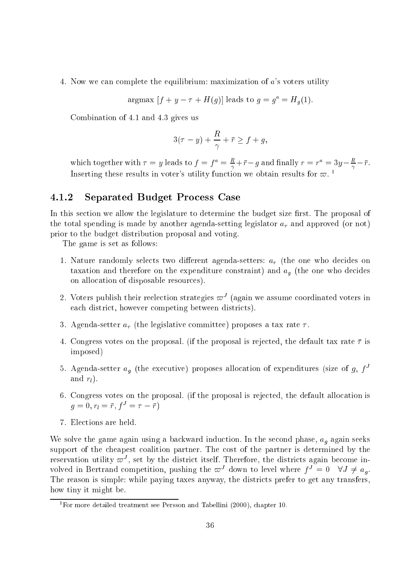4. Now we an omplete the equilibrium: maximization of <sup>a</sup>'s voters utility

argmax  $|f + y - \tau + H(g)|$  leads to  $g = g^* = H_g(1)$ .

Combination of 4.1 and 4.3 gives us

$$
3(\tau - y) + \frac{R}{\gamma} + \bar{r} \ge f + g,
$$

which together with  $\tau = y$  leads to  $f = f^* = \frac{1}{\gamma} + r - g$  and maily  $r = r^* = 3y - \frac{1}{\gamma} - r$ . Inserting these results in voter's utility function we obtain results for  $\varpi$ .

#### Separated Budget Pro
ess Case

In this section we allow the legislature to determine the budget size first. The proposal of the total spending is made by another agenda-setting legislator  $a<sub>\tau</sub>$  and approved (or not) prior to the budget distribution proposal and voting.

The game is set as follows:

- 1. Nature randomly selects two different agenda-setters:  $a<sub>\tau</sub>$  (the one who decides on taxation and therefore on the expenditure constraint) and  $a<sub>q</sub>$  (the one who decides on allo
ation of disposable resour
es).
- $\,$  2. Voters publish their reelection strategies  $\omega^{\pm}$  (again we assume coordinated voters in each district, however competing between districts).
- 3. Agenda-setter  $a_{\tau}$  (the legislative committee) proposes a tax rate  $\tau$ .
- 4. Congress votes on the proposal. (if the proposal is rejected, the default tax rate  $\bar{\tau}$  is imposed)
- $5.$  Agenda-setter  $a_g$  (the executive) proposes allocation of expenditures (size of  $g, f^*$ and  $r_l$ ).
- 6. Congress votes on the proposal. (if the proposal is rejected, the default allocation is  $g = 0, r_l = r, f = 7 - r$
- 7. Ele
tions are held.

We solve the game again using a backward induction. In the second phase,  $a_g$  again seeks support of the cheapest coalition partner. The cost of the partner is determined by the reservation utility  $\omega$  , set by the district itself. Therefore, the districts again become involved in Bertrand competition, pushing the  $\omega$  -down to level where  $f_- = 0$  (  $\forall J \neq a_a$ . The reason is simple: while paying taxes anyway, the districts prefer to get any transfers, how tiny it might be.

<sup>1</sup> For more detailed treatment see Persson and Tabellini (2000), hapter 10.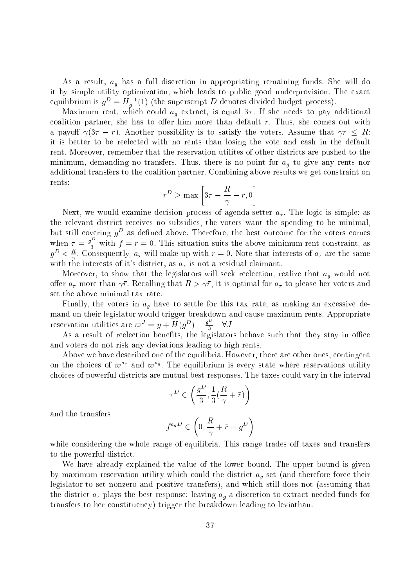As a result,  $a_g$  has a full discretion in appropriating remaining funds. She will do it by simple utility optimization, which leads to public good underprovision. The exact equilibrium is  $g^{\perp} = H_{g}^{-}(1)$  (the superscript  $D$  denotes divided budget process).

Maximum rent, which could  $a_{q}$  extract, is equal  $3\tau$ . If she needs to pay additional coalition partner, she has to offer him more than default  $\bar{r}$ . Thus, she comes out with a payoff  $\gamma(3\tau - \bar{r})$ . Another possibility is to satisfy the voters. Assume that  $\gamma \bar{r} \leq R$ : it is better to be reele
ted with no rents than losing the vote and ash in the default rent. Moreover, remember that the reservation utilities of other districts are pushed to the minimum, demanding no transfers. Thus, there is no point for  $a<sub>q</sub>$  to give any rents nor additional transfers to the coalition partner. Combining above results we get constraint on rents: --

$$
r^D \ge \max\left[3\tau - \frac{R}{\gamma} - \bar{r}, 0\right]
$$

Next, we would examine decision process of agenda-setter  $a_{\tau}$ . The logic is simple: as the relevant district receives no subsidies, the voters want the spending to be minimal, but still covering  $g<sup>D</sup>$  as defined above. Therefore, the best outcome for the voters comes when  $\tau = \frac{g^D}{3}$  with  $f = r = 0$ . This situation suits the above minimum rent constraint, as  $g^2 \leq \frac{1}{\gamma}$ . Consequently,  $a_{\tau}$  will make up with  $r = 0$ . Note that interests of  $a_{\tau}$  are the same with the interests of it's district, as  $a_{\tau}$  is not a residual claimant.

Moreover, to show that the legislators will seek reelection, realize that  $a_q$  would not offer  $a_{\tau}$  more than  $\gamma \bar{r}$ . Recalling that  $R > \gamma \bar{r}$ , it is optimal for  $a_{\tau}$  to please her voters and set the above minimal tax rate.

Finally, the voters in  $a_g$  have to settle for this tax rate, as making an excessive demand on their legislator would trigger breakdown and cause maximum rents. Appropriate reservation utilities are  $\varpi^J = y + H(g^D) - \frac{g^2}{3} \quad \forall J$ 

As a result of reelection benefits, the legislators behave such that they stay in office and voters do not risk any deviations leading to high rents.

Above we have described one of the equilibria. However, there are other ones, contingent on the choices of  $\omega$   $^{\prime}$  and  $\omega$   $^{\prime\prime}$ . The equilibrium is every state where reservations utility hoi
es of powerful distri
ts are mutual best responses. The taxes ould vary in the interval

$$
\tau^D \in \left(\frac{g^D}{3}, \frac{1}{3}(\frac{R}{\gamma} + \bar{r})\right)
$$

and the transfers

$$
f^{a_g D} \in \left(0, \frac{R}{\gamma} + \bar{r} - g^D\right)
$$

while considering the whole range of equilibria. This range trades off taxes and transfers to the powerful distri
t.

We have already explained the value of the lower bound. The upper bound is given by maximum reservation utility which could the district  $a<sub>g</sub>$  set (and therefore force their legislator to set nonzero and positive transfers), and whi
h still does not (assuming that the district  $a_{\tau}$  plays the best response: leaving  $a_{q}$  a discretion to extract needed funds for transfers to her onstituen
y) trigger the breakdown leading to leviathan.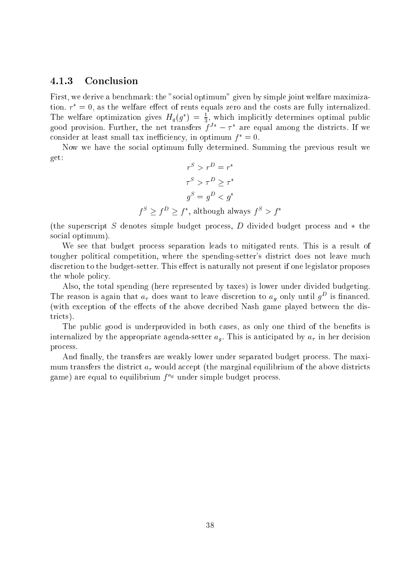#### $4.1.3$ Conclusion

First, we derive a benchmark: the "social optimum" given by simple joint welfare maximiza $t_{\rm{100}}$  as the weitare effect of rents equals zero and the costs are fully internalized. The weitare optimization gives  $H_g(q) = \frac{1}{2}$ , which implicitly determines optimal public good provision. Further, the net transfers  $f^+ = 7^-$  are equal among the districts. If we consider at least small tax inefficiency, in optimum  $f^* = 0$ .

Now we have the so
ial optimum fully determined. Summing the previous result we get:

$$
r^{S} > r^{D} = r^{*}
$$

$$
\tau^{S} > \tau^{D} \geq \tau^{*}
$$

$$
g^{S} = g^{D} < g^{*}
$$

$$
f^{S} > f^{D} > f^{*}, \text{ although always } f^{S} > f^{*}
$$

(the superscript S denotes simple budget process, D divided budget process and  $*$  the social optimum).

We see that budget pro
ess separation leads to mitigated rents. This is a result of tougher political competition, where the spending-setter's district does not leave much discretion to the budget-setter. This effect is naturally not present if one legislator proposes the whole poli
y.

Also, the total spending (here represented by taxes) is lower under divided budgeting. The reason is again that  $a_{\tau}$  does want to leave discretion to  $a_{\theta}$  only until  $g^-$  is imaliced. (with exception of the effects of the above decribed Nash game played between the districts).

The public good is underprovided in both cases, as only one third of the benefits is internalized by the appropriate agenda-setter  $a<sub>q</sub>$ . This is anticipated by  $a<sub>\tau</sub>$  in her decision pro
ess.

And finally, the transfers are weakly lower under separated budget process. The maximum transfers the district  $a_{\tau}$  would accept (the marginal equilibrium of the above districts game) are equal to equilibrium f s under simple budget process.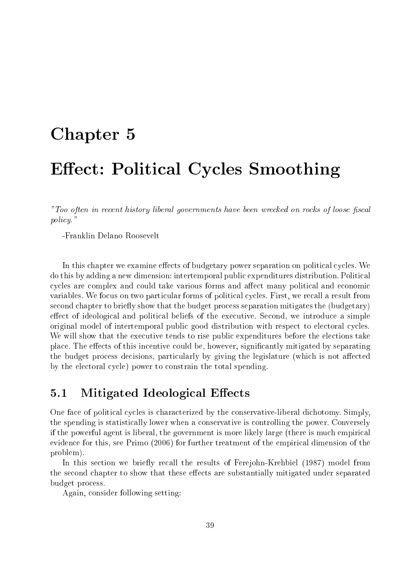## Chapter 5 September 5 September 5 September 5 September 5 September 5 September 5 September 5 September 5 September 5 September 5 September 5 September 5 September 5 September 5 September 5 September 5 September 5 Septembe Ee
t: Politi
al Cy
les Smoothing

"Too often in recent history liberal governments have been wrecked on rocks of loose fiscal policy."

-Franklin Delano Roosevelt

In this chapter we examine effects of budgetary power separation on political cycles. We do this by adding a new dimension: intertemporal public expenditures distribution. Political cycles are complex and could take various forms and affect many political and economic variables. We focus on two particular forms of political cycles. First, we recall a result from second chapter to briefly show that the budget process separation mitigates the (budgetary) effect of ideological and political beliefs of the executive. Second, we introduce a simple original model of intertemporal public good distribution with respect to electoral cycles. We will show that the executive tends to rise public expenditures before the elections take place. The effects of this incentive could be, however, significantly mitigated by separating the budget process decisions, particularly by giving the legislature (which is not affected by the electoral cycle) power to constrain the total spending.

#### $5.1$ Mitigated Ideological Effects

One face of political cycles is characterized by the conservative-liberal dichotomy. Simply, the spending is statisti
ally lower when a onservative is ontrolling the power. Conversely if the powerful agent is liberal, the government is more likely large (there is much empirical eviden
e for this, see Primo (2006) for further treatment of the empiri
al dimension of the problem).

In this section we briefly recall the results of Ferejohn-Krehbiel (1987) model from the second chapter to show that these effects are substantially mitigated under separated budget pro
ess.

Again, onsider following setting: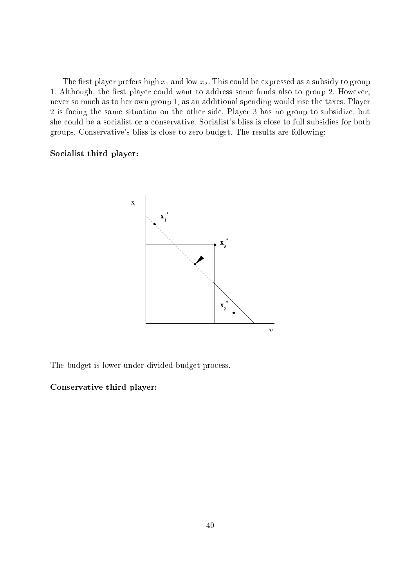The first player prefers high  $x_1$  and low  $x_2$ . This could be expressed as a subsidy to group 1. Although, the first player could want to address some funds also to group 2. However, never so mu
h as to her own group 1, as an additional spending would rise the taxes. Player 2 is fa
ing the same situation on the other side. Player 3 has no group to subsidize, but she could be a socialist or a conservative. Socialist's bliss is close to full subsidies for both groups. Conservative's bliss is lose to zero budget. The results are following:

#### So
ialist third player:



The budget is lower under divided budget pro
ess.

#### Conservative third player: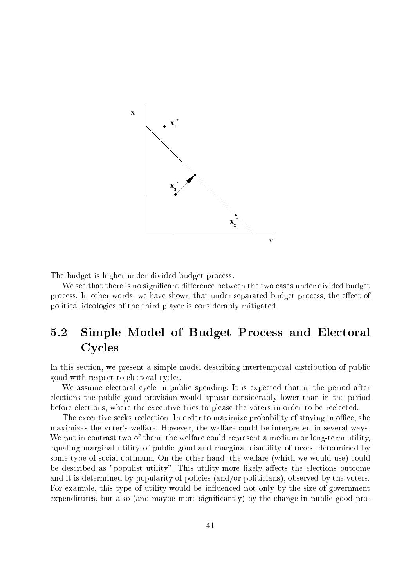

The budget is higher under divided budget process.

We see that there is no significant difference between the two cases under divided budget process. In other words, we have shown that under separated budget process, the effect of politi
al ideologies of the third player is onsiderably mitigated.

## 5.2 Simple Model of Budget Process and Electoral Cy
les

In this section, we present a simple model describing intertemporal distribution of public good with respect to electoral cycles.

We assume electoral cycle in public spending. It is expected that in the period after ele
tions the publi good provision would appear onsiderably lower than in the period before elections, where the executive tries to please the voters in order to be reelected.

The executive seeks reelection. In order to maximize probability of staying in office, she maximizes the voter's welfare. However, the welfare ould be interpreted in several ways. We put in contrast two of them: the welfare could represent a medium or long-term utility, equaling marginal utility of publi good and marginal disutility of taxes, determined by some type of social optimum. On the other hand, the welfare (which we would use) could be described as "populist utility". This utility more likely affects the elections outcome and it is determined by popularity of policies (and/or politicians), observed by the voters. For example, this type of utility would be influenced not only by the size of government expenditures, but also (and maybe more significantly) by the change in public good pro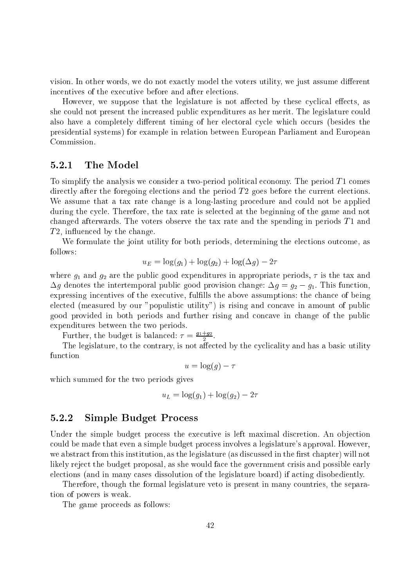vision. In other words, we do not exactly model the voters utility, we just assume different incentives of the executive before and after elections.

However, we suppose that the legislature is not affected by these cyclical effects, as she could not present the increased public expenditures as her merit. The legislature could also have a completely different timing of her electoral cycle which occurs (besides the presidential systems) for example in relation between European Parliament and European Commission.

#### $5.2.1$ The Model

To simplify the analysis we consider a two-period political economy. The period  $T_1$  comes directly after the foregoing elections and the period  $T2$  goes before the current elections. We assume that a tax rate change is a long-lasting procedure and could not be applied during the cycle. Therefore, the tax rate is selected at the beginning of the game and not changed afterwards. The voters observe the tax rate and the spending in periods  $T1$  and t 2, in the second contract of the second contract of the second contract of the second contract of the second contract of the second contract of the second contract of the second contract of the second contract of the sec

We formulate the joint utility for both periods, determining the elections outcome, as follows:

$$
u_E = \log(g_1) + \log(g_2) + \log(\Delta g) - 2\tau
$$

where  $g_1$  and  $g_2$  are the public good expenditures in appropriate periods,  $\tau$  is the tax and  $\Delta g$  denotes the intertemporal public good provision change:  $\Delta g = g_2 - g_1$ . This function, expressing incentives of the executive, fulfills the above assumptions: the chance of being elected (measured by our "populistic utility") is rising and concave in amount of public good provided in both periods and further rising and concave in change of the public expenditures between the two periods.

Further, the budget is balanced:  $\tau = \frac{21+22}{5}$ .

The legislature, to the contrary, is not affected by the cyclicality and has a basic utility function

$$
u = \log(g) - \tau
$$

which summed for the two periods gives

$$
u_L = \log(g_1) + \log(g_2) - 2\tau
$$

#### 5.2.2Simple Budget Pro
ess

Under the simple budget process the executive is left maximal discretion. An objection could be made that even a simple budget process involves a legislature's approval. However, we abstract from this institution, as the legislature (as discussed in the first chapter) will not likely reject the budget proposal, as she would face the government crisis and possible early elections (and in many cases dissolution of the legislature board) if acting disobediently.

Therefore, though the formal legislature veto is present in many ountries, the separation of powers is weak.

The game proceeds as follows: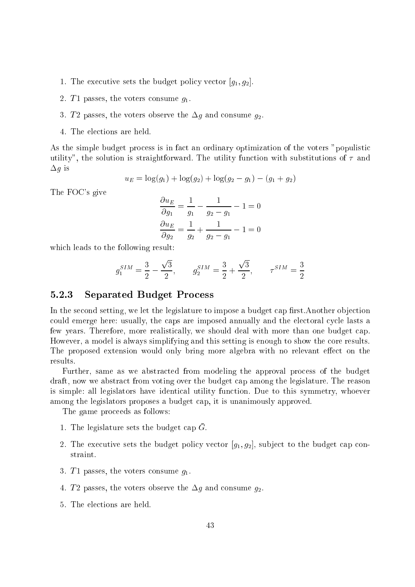- 1. The executive sets the budget policy vector  $[g_1, g_2]$ .
- 2. T1 passes, the voters consume  $g_1$ .
- 3. T2 passes, the voters observe the  $\Delta g$  and consume  $g_2$ .
- 4. The ele
tions are held.

As the simple budget process is in fact an ordinary optimization of the voters "populistic utility", the solution is straightforward. The utility function with substitutions of  $\tau$  and  $\Delta g$  is

$$
u_E = \log(g_1) + \log(g_2) + \log(g_2 - g_1) - (g_1 + g_2)
$$

The FOC's give

$$
\frac{\partial u_E}{\partial g_1} = \frac{1}{g_1} - \frac{1}{g_2 - g_1} - 1 = 0
$$
  

$$
\frac{\partial u_E}{\partial g_2} = \frac{1}{g_2} + \frac{1}{g_2 - g_1} - 1 = 0
$$

which leads to the following result:

$$
g_1^{SIM} = \frac{3}{2} - \frac{\sqrt{3}}{2}, \qquad g_2^{SIM} = \frac{3}{2} + \frac{\sqrt{3}}{2}, \qquad \tau^{SIM} = \frac{3}{2}
$$

#### 5.2.3Separated Budget Pro
ess

In the second setting, we let the legislature to impose a budget cap first.Another objection could emerge here: usually, the caps are imposed annually and the electoral cycle lasts a few years. Therefore, more realistically, we should deal with more than one budget cap. However, a model is always simplifying and this setting is enough to show the ore results. The proposed extension would only bring more algebra with no relevant effect on the results.

Further, same as we abstracted from modeling the approval process of the budget draft, now we abstra
t from voting over the budget ap among the legislature. The reason is simple: all legislators have identical utility function. Due to this symmetry, whoever among the legislators proposes a budget cap, it is unanimously approved.

The game proceeds as follows:

- 1. The legislature sets the budget cap G.
- 2. The executive sets the budget policy vector  $[g_1, g_2]$ , subject to the budget cap constraint.
- 3. T1 passes, the voters consume  $q_1$ .
- 4. T2 passes, the voters observe the  $\Delta g$  and consume  $g_2$ .
- 5. The ele
tions are held.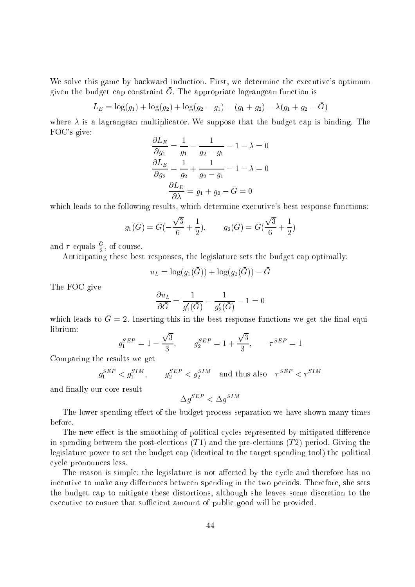We solve this game by backward induction. First, we determine the executive's optimum given the budget cap constraint  $\alpha.$  The appropriate lagrangean function is

$$
L_E = \log(g_1) + \log(g_2) + \log(g_2 - g_1) - (g_1 + g_2) - \lambda(g_1 + g_2 - \bar{G})
$$

where  $\lambda$  is a lagrangean multiplicator. We suppose that the budget cap is binding. The FOC's give:

$$
\frac{\partial L_E}{\partial g_1} = \frac{1}{g_1} - \frac{1}{g_2 - g_1} - 1 - \lambda = 0
$$

$$
\frac{\partial L_E}{\partial g_2} = \frac{1}{g_2} + \frac{1}{g_2 - g_1} - 1 - \lambda = 0
$$

$$
\frac{\partial L_E}{\partial \lambda} = g_1 + g_2 - \bar{G} = 0
$$

which leads to the following results, which determine executive's best response functions:

$$
g_1(\bar{G}) = \bar{G}(-\frac{\sqrt{3}}{6} + \frac{1}{2}), \qquad g_2(\bar{G}) = \bar{G}(\frac{\sqrt{3}}{6} + \frac{1}{2})
$$

and  $\tau$  equals  $\frac{\omega}{\sigma}$ , of course.

Anti
ipating these best responses, the legislature sets the budget ap optimally:

$$
u_L = \log(g_1(\bar{G})) + \log(g_2(\bar{G})) - \bar{G}
$$

The FOC give

$$
\frac{\partial u_L}{\partial \bar{G}} = \frac{1}{g'_1(\bar{G})} - \frac{1}{g'_2(\bar{G})} - 1 = 0
$$

which leads to  $\bar{G} = 2$ . Inserting this in the best response functions we get the final equilibrium:

$$
g_1^{SEP} = 1 - \frac{\sqrt{3}}{3}, \qquad g_2^{SEP} = 1 + \frac{\sqrt{3}}{3}, \qquad \tau^{SEP} = 1
$$

Comparing the results we get

$$
g_1^{SEP} < g_1^{SIM}, \qquad g_2^{SEP} < g_2^{SIM} \quad \text{and thus also} \quad \tau^{SEP} < \tau^{SIM}
$$

and finally our core result

$$
\Delta g^{SEP}<\Delta g^{SIM}
$$

The lower spending effect of the budget process separation we have shown many times before.

The new effect is the smoothing of political cycles represented by mitigated difference in spending between the post-elections  $(T1)$  and the pre-elections  $(T2)$  period. Giving the legislature power to set the budget cap (identical to the target spending tool) the political cycle pronounces less.

The reason is simple: the legislature is not affected by the cycle and therefore has no incentive to make any differences between spending in the two periods. Therefore, she sets the budget ap to mitigate these distortions, although she leaves some dis
retion to the executive to ensure that sufficient amount of public good will be provided.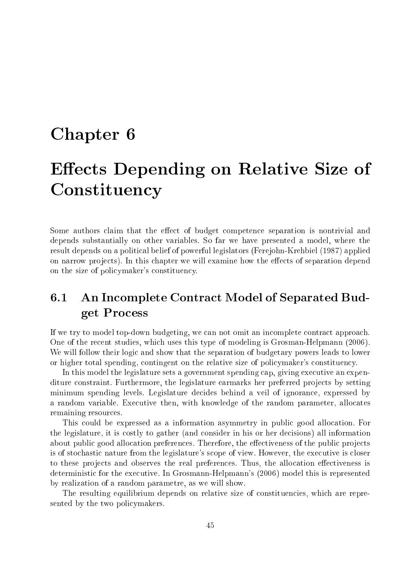## Chapter 6 of the contract of the contract of the contract of the contract of the contract of the contract of the contract of the contract of the contract of the contract of the contract of the contract of the contract of t

## Ee
ts Depending on Relative Size of Constituen
y

Some authors claim that the effect of budget competence separation is nontrivial and depends substantially on other variables. So far we have presented a model, where the result depends on a political belief of powerful legislators (Ferejohn-Krehbiel (1987) applied on narrow projects). In this chapter we will examine how the effects of separation depend on the size of policymaker's constituency.

## 6.1 An Incomplete Contract Model of Separated Budget Pro
ess

If we try to model top-down budgeting, we can not omit an incomplete contract approach. One of the re
ent studies, whi
h uses this type of modeling is Grosman-Helpmann (2006). We will follow their logic and show that the separation of budgetary powers leads to lower or higher total spending, contingent on the relative size of policymaker's constituency.

In this model the legislature sets a government spending cap, giving executive an expenditure constraint. Furthermore, the legislature earmarks her preferred projects by setting minimum spending levels. Legislature decides behind a veil of ignorance, expressed by a random variable. Executive then, with knowledge of the random parameter, allocates remaining resour
es.

This could be expressed as a information asymmetry in public good allocation. For the legislature, it is ostly to gather (and onsider in his or her de
isions) all information about public good allocation preferences. Therefore, the effectiveness of the public projects is of stochastic nature from the legislature's scope of view. However, the executive is closer to these projects and observes the real preferences. Thus, the allocation effectiveness is deterministic for the executive. In Grosmann-Helpmann's (2006) model this is represented by realization of a random parametre, as we will show.

The resulting equilibrium depends on relative size of constituencies, which are represented by the two policymakers.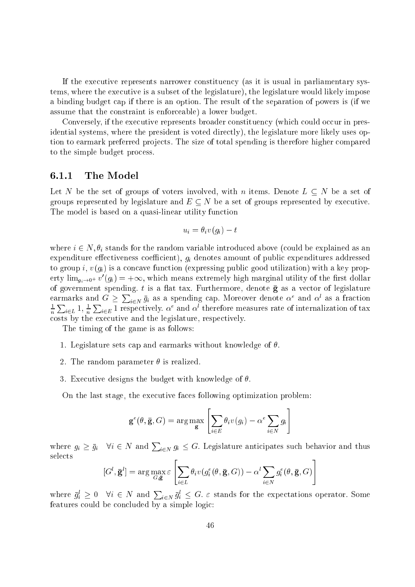If the executive represents narrower constituency (as it is usual in parliamentary systems, where the executive is a subset of the legislature), the legislature would likely impose a binding budget ap if there is an option. The result of the separation of powers is (if we assume that the onstraint is enfor
eable) a lower budget.

Conversely, if the executive represents broader constituency (which could occur in presidential systems, where the president is voted directly), the legislature more likely uses option to earmark preferred projects. The size of total spending is therefore higher compared to the simple budget pro
ess.

#### 6.1.1The Model

Let N be the set of groups of voters involved, with n items. Denote  $L \subseteq N$  be a set of groups represented by legislature and  $E \subseteq N$  be a set of groups represented by executive. The model is based on a quasi-linear utility function

$$
u_i = \theta_i v(g_i) - t
$$

where  $i \in N, \theta_i$  stands for the random variable introduced above (could be explained as an expenditure effectiveness coefficient),  $g_i$  denotes amount of public expenditures addressed to group i,  $v(g_i)$  is a concave function (expressing public good utilization) with a key property  $\lim_{g_i \to 0^+} v\ (g_i) = +\infty,$  which means extremely high marginal utility of the first dollar of government spending. t is a flat tax. Furthermore, denote  $\bar{g}$  as a vector of legislature earmarks and  $G \ge \sum_{i \in N} \bar{g}_i$  as a spending cap. Moreover denote  $\alpha^e$  and  $\alpha^l$  as a fraction  $\overline{\phantom{0}}$  $\sum_{i\in L}1,\,\frac{1}{n}$  $\sum_{i\in E}1$  respectively.  $\alpha^e$  and  $\alpha^l$  therefore measures rate of internalization of tax costs by the executive and the legislature, respectively.

The timing of the game is as follows:

- 1. Legislature sets cap and earmarks without knowledge of  $\theta$ .
- 2. The random parameter  $\theta$  is realized.
- 3. Executive designs the budget with knowledge of  $\theta$ .

On the last stage, the executive faces following optimization problem:

$$
\mathbf{g}^{e}(\theta, \bar{\mathbf{g}}, G) = \arg \max_{\mathbf{g}} \left[ \sum_{i \in E} \theta_i v(g_i) - \alpha^e \sum_{i \in N} g_i \right]
$$

where  $g_i \ge \bar{g}_i$   $\forall i \in N$  and  $\sum_{i \in N} g_i \le G$ . Legislature anticipates such behavior and thus selects " #

$$
[G^l, \bar{\mathbf{g}}^l] = \arg\max_{G, \bar{\mathbf{g}}} \varepsilon \left[ \sum_{i \in L} \theta_i v(g_i^e(\theta, \bar{\mathbf{g}}, G)) - \alpha^l \sum_{i \in N} g_i^e(\theta, \bar{\mathbf{g}}, G) \right]
$$

where  $\bar{g}_i^l \geq 0$   $\forall i \in N$  and  $\sum_{i \in N} \bar{g}_i^l \leq G$ .  $\varepsilon$  stands for the expectations operator. Some features could be concluded by a simple logic: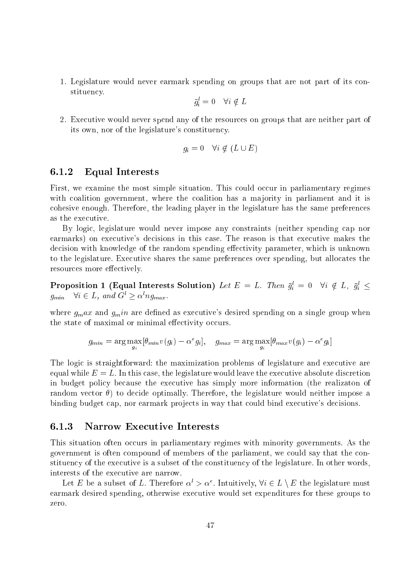1. Legislature would never earmark spending on groups that are not part of its onstituency.

$$
\bar{g}_i^l = 0 \quad \forall i \notin L
$$

2. Exe
utive would never spend any of the resour
es on groups that are neither part of its own, nor of the legislature's constituency.

$$
g_i = 0 \quad \forall i \notin (L \cup E)
$$

#### $6.1.2$ Equal Interests

First, we examine the most simple situation. This could occur in parliamentary regimes with coalition government, where the coalition has a majority in parliament and it is ohesive enough. Therefore, the leading player in the legislature has the same preferen
es as the exe
utive.

By logic, legislature would never impose any constraints (neither spending cap nor earmarks) on executive's decisions in this case. The reason is that executive makes the decision with knowledge of the random spending effectivity parameter, which is unknown to the legislature. Executive shares the same preferences over spending, but allocates the resources more effectively.

**Proposition 1** (Equal Interests Solution) Let  $E = L$ . Then  $g_i = 0$  with  $\forall i, j_i \leq$  $g_{min}$  vi  $\in L$ , and  $\sigma \geq \alpha n g_{max}$ .

where  $g_m a x$  and  $g_m i n$  are defined as executive's desired spending on a single group when the state of maximal or minimal effectivity occurs.

$$
g_{min} = \arg \max_{g_i} [\theta_{min} v(g_i) - \alpha^e g_i], \quad g_{max} = \arg \max_{g_i} [\theta_{max} v(g_i) - \alpha^e g_i]
$$

The logic is straightforward: the maximization problems of legislature and executive are equal while  $E = L$ . In this case, the legislature would leave the executive absolute discretion in budget policy because the executive has simply more information (the realizaton of random vector  $\theta$ ) to decide optimally. Therefore, the legislature would neither impose a binding budget cap, nor earmark projects in way that could bind executive's decisions.

#### 6.1.3Narrow Executive Interests

This situation often occurs in parliamentary regimes with minority governments. As the government is often compound of members of the parliament, we could say that the constituency of the executive is a subset of the constituency of the legislature. In other words, interests of the executive are narrow.

Let E be a subset of L. Therefore  $\alpha > \alpha$  . Intuitively,  $\forall i \in L \setminus E$  the legislature must earmark desired spending, otherwise executive would set expenditures for these groups to zero.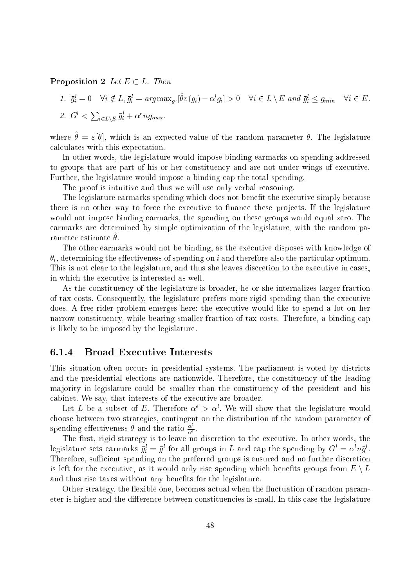#### **Proposition 2** Let  $E \subset L$ . Then

\n- 1. 
$$
\bar{g}_i^l = 0 \quad \forall i \notin L, \bar{g}_i^l = \arg \max_{g_i} [\theta v(g_i) - \alpha^l g_i] > 0 \quad \forall i \in L \setminus E \text{ and } \bar{g}_i^l \leq g_{min} \quad \forall i \in E.
$$
\n- 2.  $G^l < \sum_{i \in L \setminus E} \bar{g}_i^l + \alpha^e n g_{max}.$
\n

where  $v = \varepsilon |v|$ , which is an expected value of the random parameter  $v$ . The legislature al
ulates with this expe
tation.

In other words, the legislature would impose binding earmarks on spending addressed to groups that are part of his or her constituency and are not under wings of executive. Further, the legislature would impose a binding cap the total spending.

The proof is intuitive and thus we will use only verbal reasoning.

The legislature earmarks spending which does not benefit the executive simply because there is no other way to force the executive to finance these projects. If the legislature would not impose binding earmarks, the spending on these groups would equal zero. The earmarks are determined by simple optimization of the legislature, with the random parameter estimate a .

The other earmarks would not be binding, as the executive disposes with knowledge of  $\theta_i$ , determining the effectiveness of spending on i and therefore also the particular optimum. This is not clear to the legislature, and thus she leaves discretion to the executive in cases, in which the executive is interested as well.

As the constituency of the legislature is broader, he or she internalizes larger fraction of tax osts. Consequently, the legislature prefers more rigid spending than the exe
utive does. A free-rider problem emerges here: the executive would like to spend a lot on her narrow constituency, while bearing smaller fraction of tax costs. Therefore, a binding cap is likely to be imposed by the legislature.

#### 6.1.4Broad Executive Interests

This situation often occurs in presidential systems. The parliament is voted by districts and the presidential elections are nationwide. Therefore, the constituency of the leading ma jority in legislature ould be smaller than the onstituen
y of the president and his cabinet. We say, that interests of the executive are broader.

Let  $L$  be a subset of  $E$ . Therefore  $\alpha \Rightarrow \alpha$  , we will show that the legislature would hoose between two strategies, ontingent on the distribution of the random parameter of spending effectiveness  $\theta$  and the ratio  $\frac{\alpha}{\alpha^e}$ .

The first, rigid strategy is to leave no discretion to the executive. In other words, the iegislature sets earmarks  $g_i = g$  for all groups in L and cap the spending by  $G \equiv \alpha^n n g$ . Therefore, sufficient spending on the preferred groups is ensured and no further discretion is left for the executive, as it would only rise spending which benefits groups from  $E \setminus L$ and thus rise taxes without any benefits for the legislature.

Other strategy, the flexible one, becomes actual when the fluctuation of random parameter is higher and the difference between constituencies is small. In this case the legislature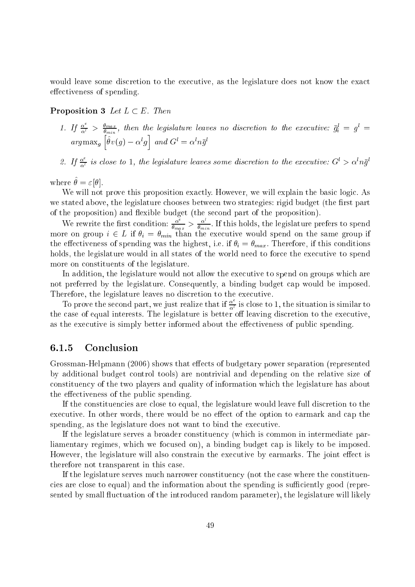would leave some discretion to the executive, as the legislature does not know the exact effectiveness of spending.

**Proposition 3** Let  $L \subset E$ . Then

- 1. If  $\frac{\alpha^2}{\alpha^l} > \frac{\theta_{max}}{\theta_{min}}$ , then the legislature leaves no discretion to the executive:  $\bar{g}_i^l = g^l =$  $\sim$   $\sim$   $\sim$   $\sim$   $\sim$   $\sim$ <sup>h</sup>  $\sigma v(q) - \alpha q$ <sup>i</sup> and  $\sigma = \alpha u$
- 2. If  $\frac{\alpha^2}{\alpha^l}$  is close to 1, the legislature leaves some discretion to the executive:  $G^l > \alpha^l n \bar{g}^l$

WHELE  $U = \varepsilon |U|$ .

We will not prove this proposition exactly. However, we will explain the basic logic. As we stated above, the legislature chooses between two strategies: rigid budget (the first part of the proposition) and exible budget (the se
ond part of the proposition).

We rewrite the first condition:  $\frac{\alpha^2}{\theta_{max}} > \frac{\alpha^2}{\theta_{min}}$ . If this holds, the legislature prefers to spend  $\Omega$  i  $=$  l in the executive would spend on the same group if it is same group if it is same group if it is same group if it is same group if it is same group if it is same group if it is same group if it is same group i the effectiveness of spending was the highest, i.e. if  $\theta_i = \theta_{max}$ . Therefore, if this conditions holds, the legislature would in all states of the world need to force the executive to spend more on constituents of the legislature.

In addition, the legislature would not allow the executive to spend on groups which are not preferred by the legislature. Consequently, a binding budget cap would be imposed. Therefore, the legislature leaves no discretion to the executive.

To prove the second part, we just realize that if  $\frac{\alpha^2}{\alpha^l}$  is close to 1, the situation is similar to the case of equal interests. The legislature is better off leaving discretion to the executive, as the executive is simply better informed about the effectiveness of public spending.

#### 6.1.5**Conclusion**

Grossman-Helpmann (2006) shows that effects of budgetary power separation (represented by additional budget ontrol tools) are nontrivial and depending on the relative size of onstituen
y of the two players and quality of information whi
h the legislature has about the effectiveness of the public spending.

If the constituencies are close to equal, the legislature would leave full discretion to the executive. In other words, there would be no effect of the option to earmark and cap the spending, as the legislature does not want to bind the executive.

If the legislature serves a broader onstituen
y (whi
h is ommon in intermediate parliamentary regimes, which we focused on), a binding budget cap is likely to be imposed. However, the legislature will also constrain the executive by earmarks. The joint effect is therefore not transparent in this ase.

If the legislature serves much narrower constituency (not the case where the constituencies are close to equal) and the information about the spending is sufficiently good (represented by small fluctuation of the introduced random parameter), the legislature will likely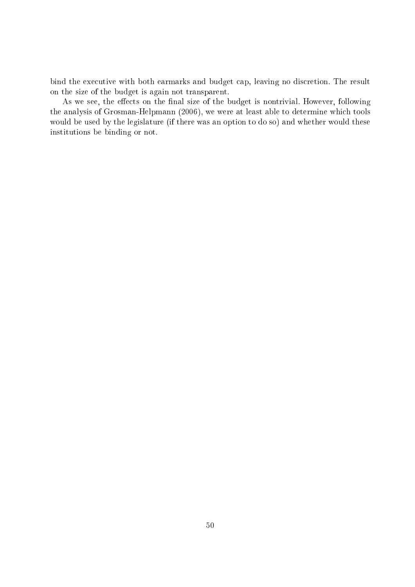bind the executive with both earmarks and budget cap, leaving no discretion. The result on the size of the budget is again not transparent.

As we see, the effects on the final size of the budget is nontrivial. However, following the analysis of Grosman-Helpmann (2006), we were at least able to determine whi
h tools would be used by the legislature (if there was an option to do so) and whether would these institutions be binding or not.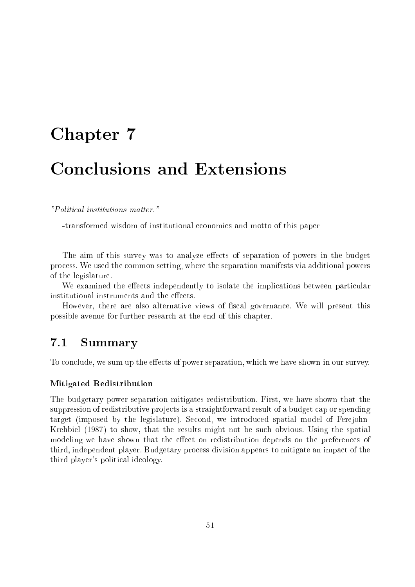# Chapter 7 Chapter 7 Chapter 7 Chapter 7 Chapter 7 Chapter 7 Chapter 7 Chapter 7 Chapter 7 Chapter 7 Chapter 7

"Politi
al institutions matter."

-transformed wisdom of institutional e
onomi
s and motto of this paper

The aim of this survey was to analyze effects of separation of powers in the budget pro
ess. We used the ommon setting, where the separation manifests via additional powers of the legislature.

We examined the effects independently to isolate the implications between particular institutional instruments and the effects.

However, there are also alternative views of fiscal governance. We will present this possible avenue for further resear
h at the end of this hapter.

### 7.1 Summary

To conclude, we sum up the effects of power separation, which we have shown in our survey.

#### Mitigated Redistribution

The budgetary power separation mitigates redistribution. First, we have shown that the suppression of redistributive projects is a straightforward result of a budget cap or spending target (imposed by the legislature). Second, we introduced spatial model of Ferejohn-Krehbiel (1987) to show, that the results might not be su
h obvious. Using the spatial modeling we have shown that the effect on redistribution depends on the preferences of third, independent player. Budgetary pro
ess division appears to mitigate an impa
t of the third player's politi
al ideology.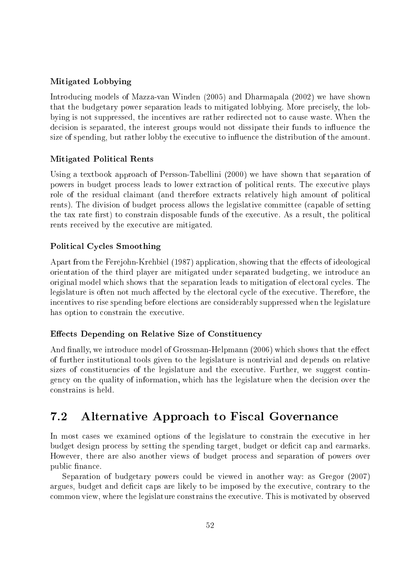#### Mitigated Lobbying

Introdu
ing models of Mazza-van Winden (2005) and Dharmapala (2002) we have shown that the budgetary power separation leads to mitigated lobbying. More precisely, the lobbying is not suppressed, the incentives are rather redirected not to cause waste. When the decision is separated, the interest groups would not dissipate their funds to influence the size of spending, but rather lobby the executive to influence the distribution of the amount.

#### Mitigated Politi
al Rents

Using a textbook approach of Persson-Tabellini (2000) we have shown that separation of powers in budget pro
ess leads to lower extra
tion of politi
al rents. The exe
utive plays role of the residual claimant (and therefore extracts relatively high amount of political rents). The division of budget pro
ess allows the legislative ommittee (
apable of setting the tax rate first) to constrain disposable funds of the executive. As a result, the political rents received by the executive are mitigated.

#### Politi
al Cy
les Smoothing

Apart from the Ferejohn-Krehbiel (1987) application, showing that the effects of ideological orientation of the third player are mitigated under separated budgeting, we introdu
e an original model which shows that the separation leads to mitigation of electoral cycles. The legislature is often not much affected by the electoral cycle of the executive. Therefore, the in
entives to rise spending before ele
tions are onsiderably suppressed when the legislature has option to constrain the executive.

#### Effects Depending on Relative Size of Constituency

And finally, we introduce model of Grossman-Helpmann (2006) which shows that the effect of further institutional tools given to the legislature is nontrivial and depends on relative sizes of constituencies of the legislature and the executive. Further, we suggest contingency on the quality of information, which has the legislature when the decision over the onstrains is held.

#### Alternative Approach to Fiscal Governance  $7.2$

In most cases we examined options of the legislature to constrain the executive in her budget design process by setting the spending target, budget or deficit cap and earmarks. However, there are also another views of budget process and separation of powers over public finance.

Separation of budgetary powers could be viewed in another way: as Gregor (2007) argues, budget and deficit caps are likely to be imposed by the executive, contrary to the ommon view, where the legislature onstrains the exe
utive. This is motivated by observed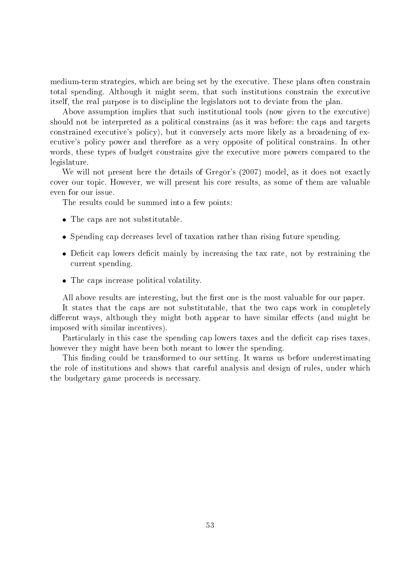medium-term strategies, which are being set by the executive. These plans often constrain total spending. Although it might seem, that such institutions constrain the executive itself, the real purpose is to discipline the legislators not to deviate from the plan.

Above assumption implies that such institutional tools (now given to the executive) should not be interpreted as a political constrains (as it was before: the caps and targets constrained executive's policy), but it conversely acts more likely as a broadening of executive's policy power and therefore as a very opposite of political constrains. In other words, these types of budget constrains give the executive more powers compared to the legislature.

We will not present here the details of Gregor's (2007) model, as it does not exactly over our topi
. However, we will present his ore results, as some of them are valuable even for our issue.

The results could be summed into a few points:

- The substitute of the substitute and substitute and substitute of the substitute of the substitution of the substitution of the substitution of the substitution of the substitution of the substitution of the substitution o
- Spending ap de
reases level of taxation rather than rising future spending.
- it mainly by internal contracts and the tax reasons and the tax reasons and the tax rate contracts of the tax r urrent spending.
- The aps in
rease politi
al volatility.

All above results are interesting, but the first one is the most valuable for our paper.

It states that the caps are not substitutable, that the two caps work in completely different ways, although they might both appear to have similar effects (and might be imposed with similar in
entives).

Particularly in this case the spending cap lowers taxes and the deficit cap rises taxes, however they might have been both meant to lower the spending.

This finding could be transformed to our setting. It warns us before underestimating the role of institutions and shows that areful analysis and design of rules, under whi
h the budgetary game proceeds is necessary.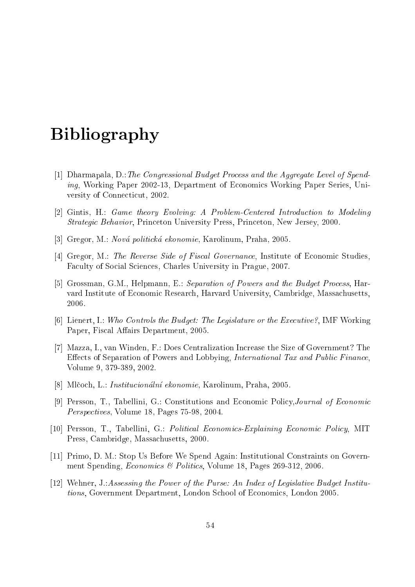## ————————————————————

- [1] Dharmapala,  $D$ .: The Congressional Budget Process and the Aggregate Level of Spending, Working Paper 2002-13, Department of Economics Working Paper Series, University of Connecticut, 2002.
- [2] Gintis, H.: Game theory Evolving: A Problem-Centered Introduction to Modeling Strategi Behavior, Prin
eton University Press, Prin
eton, New Jersey, 2000.
- [3] Gregor, M.: Nová politická ekonomie, Karolinum, Praha, 2005.
- [4] Gregor, M.: The Reverse Side of Fiscal Governance, Institute of Economic Studies. Faculty of Social Sciences, Charles University in Prague, 2007.
- [5] Grossman, G.M., Helpmann, E.: Separation of Powers and the Budget Process, Harvard Institute of E
onomi Resear
h, Harvard University, Cambridge, Massa
husetts, 2006.
- [6] Lienert, I.: Who Controls the Budget: The Legislature or the Executive?, IMF Working Paper, Fiscal Affairs Department, 2005.
- [7] Mazza, I., van Winden, F.: Does Centralization Increase the Size of Government? The Effects of Separation of Powers and Lobbying, *International Tax and Public Finance*. Volume 9, 379-389, 2002.
- [8] Mlčoch, L.: *Institucionální ekonomie*, Karolinum, Praha, 2005.
- [9] Persson, T., Tabellini, G.: Constitutions and Economic Policy, Journal of Economic Perspectives, Volume 18, Pages 75-98, 2004.
- [10] Persson, T., Tabellini, G.: Political Economics-Explaining Economic Policy, MIT Press, Cambridge, Massa
husetts, 2000.
- [11] Primo, D. M.: Stop Us Before We Spend Again: Institutional Constraints on Government Spending, *Economics & Politics*, Volume 18, Pages 269-312, 2006.
- [12] Wehner, J.:Assessing the Power of the Purse: An Index of Legislative Budget Institutions, Government Department, London School of Economics, London 2005.